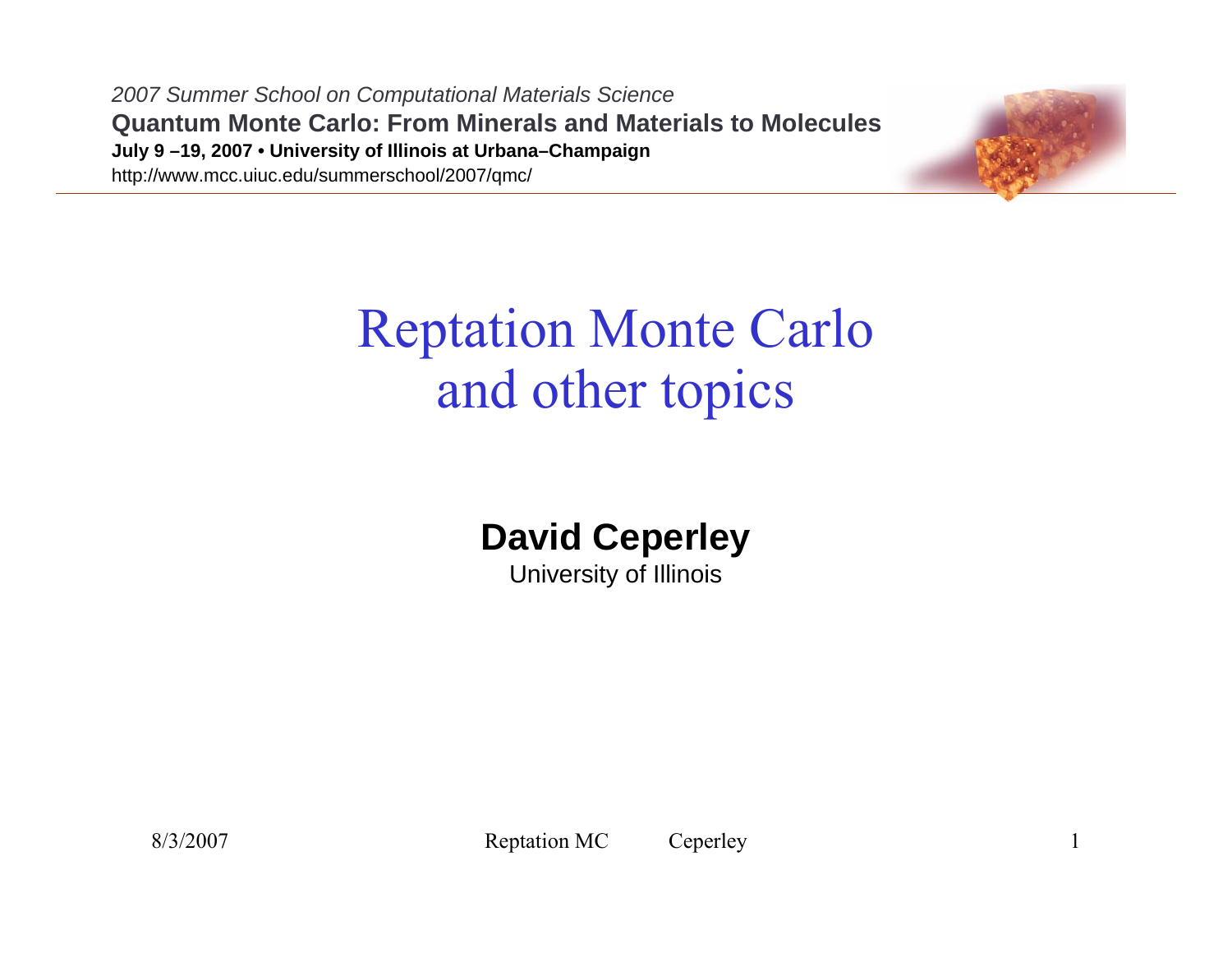*2007 Summer School on Computational Materials Science* **Quantum Monte Carlo: From Minerals and Materials to Molecules July 9 –19, 2007 • University of Illinois at Urbana–Champaign** http://www.mcc.uiuc.edu/summerschool/2007/qmc/



# Reptation Monte Carlo and other topics

#### **David Ceperley**

University of Illinois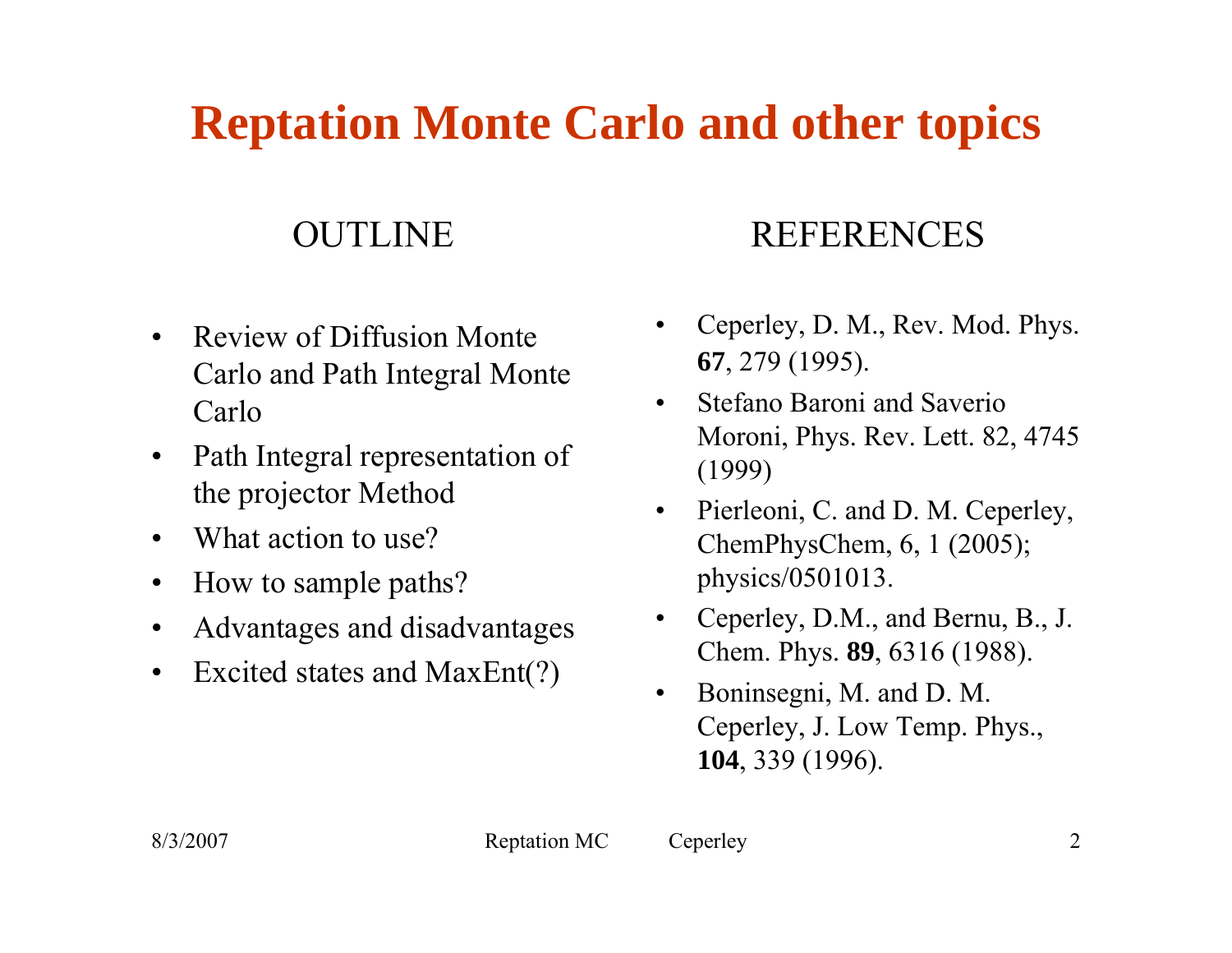## **Reptation Monte Carlo and other topics**

#### OUTLINE

- $\bullet$  Review of Diffusion Monte Carlo and Path Integral Monte Carlo
- $\bullet$  Path Integral representation of the projector Method
- $\bullet$ What action to use?
- $\bullet$ How to sample paths?
- $\bullet$ Advantages and disadvantages
- $\bullet$ Excited states and MaxEnt(?)

#### REFERENCES

- • Ceperley, D. M., Rev. Mod. Phys. **67**, 279 (1995).
- • Stefano Baroni and SaverioMoroni, Phys. Rev. Lett. 82, 4745 (1999)
- • Pierleoni, C. and D. M. Ceperley, ChemPhysChem, 6, 1 (2005); physics/0501013.
- • Ceperley, D.M., and Bernu, B., J. Chem. Phys. **89**, 6316 (1988).
- • Boninsegni, M. and D. M. Ceperley, J. Low Temp. Phys., **104**, 339 (1996).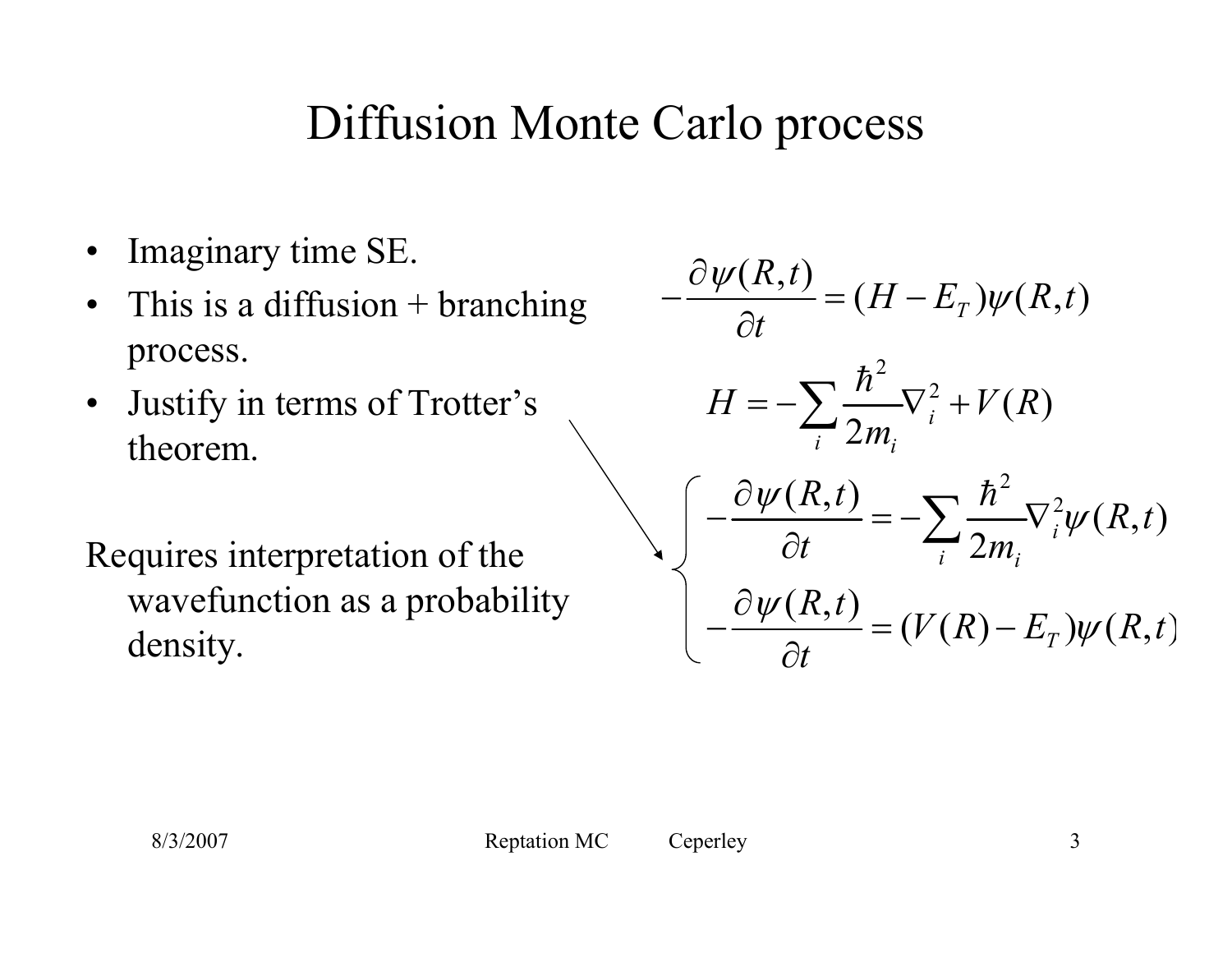## Diffusion Monte Carlo process

- $\bullet$ Imaginary time SE.
- $\bullet$ This is a diffusion  $+$  branching process.
- $\bullet$  Justify in terms of Trotter's theorem.

Requires interpretation of the wavefunction as a probability density.

$$
-\frac{\partial \psi(R,t)}{\partial t} = (H - E_T)\psi(R,t)
$$
  
\n
$$
H = -\sum_{i} \frac{\hbar^2}{2m_i} \nabla_i^2 + V(R)
$$
  
\n
$$
\begin{cases}\n-\frac{\partial \psi(R,t)}{\partial t} = -\sum_{i} \frac{\hbar^2}{2m_i} \nabla_i^2 \psi(R,t) \\
-\frac{\partial \psi(R,t)}{\partial t} = (V(R) - E_T)\psi(R,t)\n\end{cases}
$$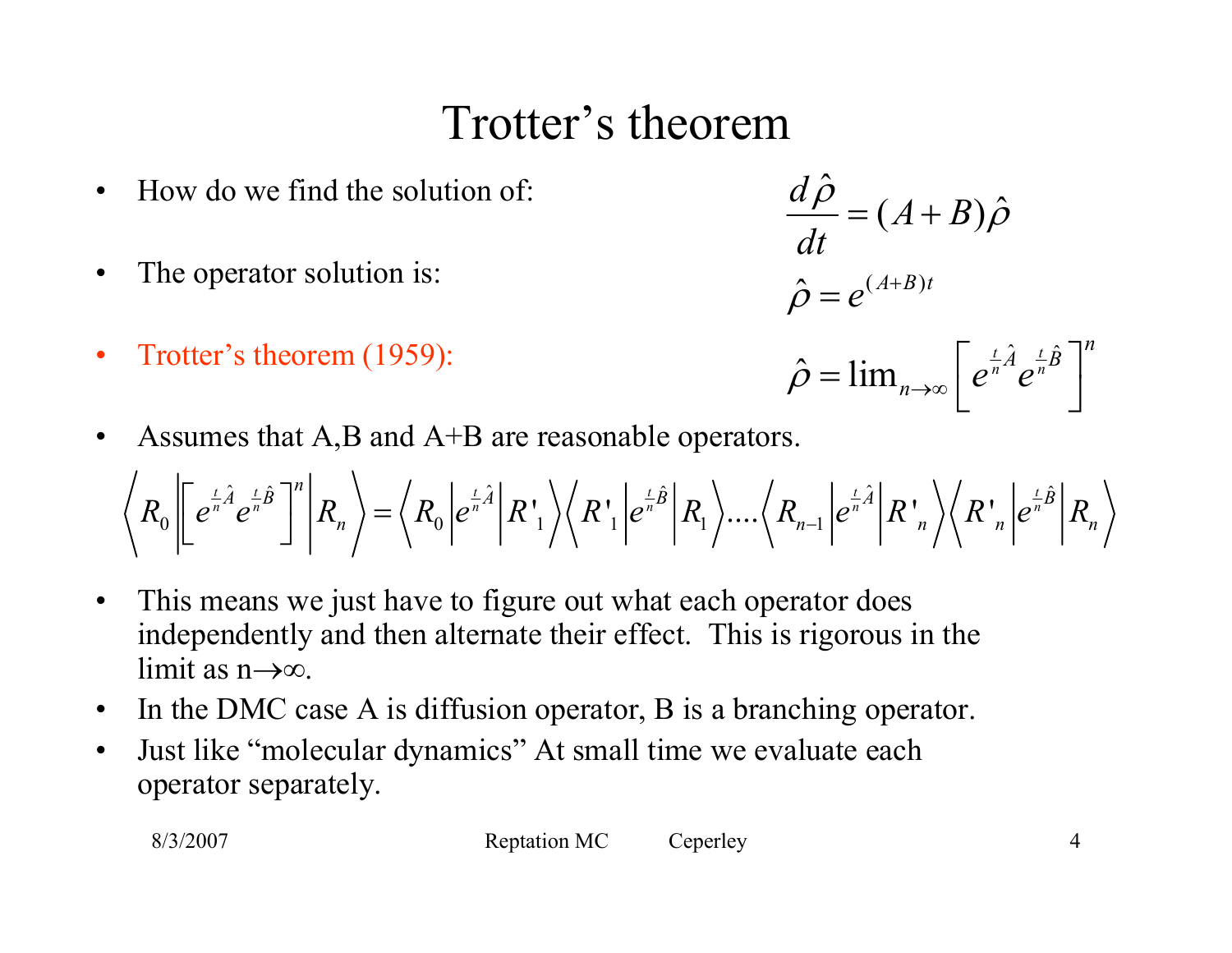### Trotter's theorem

- •How do we find the solution of:
- •The operator solution is:
- •Trotter's theorem (1959):

$$
\frac{d\hat{\rho}}{dt} = (A+B)\hat{\rho}
$$

$$
\hat{\rho} = e^{(A+B)t}
$$

$$
\hat{\rho} = \lim_{n \to \infty} \left[ e^{\frac{t}{n} \hat{A}} e^{\frac{t}{n} \hat{B}} \right]^n
$$

 $\bullet$ Assumes that A,B and A+B are reasonable operators.

$$
\left\langle R_0 \left| \left[ e^{\frac{t}{n} \hat{A}} e^{\frac{t}{n} \hat{B}} \right]^{n} \right| R_n \right\rangle = \left\langle R_0 \left| e^{\frac{t}{n} \hat{A}} \right| R^{\dagger}_{1} \right\rangle \left\langle R^{\dagger}_{1} \left| e^{\frac{t}{n} \hat{B}} \right| R_{1} \right\rangle \dots \left\langle R_{n-1} \left| e^{\frac{t}{n} \hat{A}} \right| R^{\dagger}_{n} \right\rangle \left\langle R^{\dagger}_{n} \left| e^{\frac{t}{n} \hat{B}} \right| R_{n} \right\rangle
$$

- $\bullet$  This means we just have to figure out what each operator does independently and then alternate their effect. This is rigorous in the limit as n→∞.
- $\bullet$ In the DMC case A is diffusion operator, B is a branching operator.
- $\bullet$  Just like "molecular dynamics" At small time we evaluate each operator separately.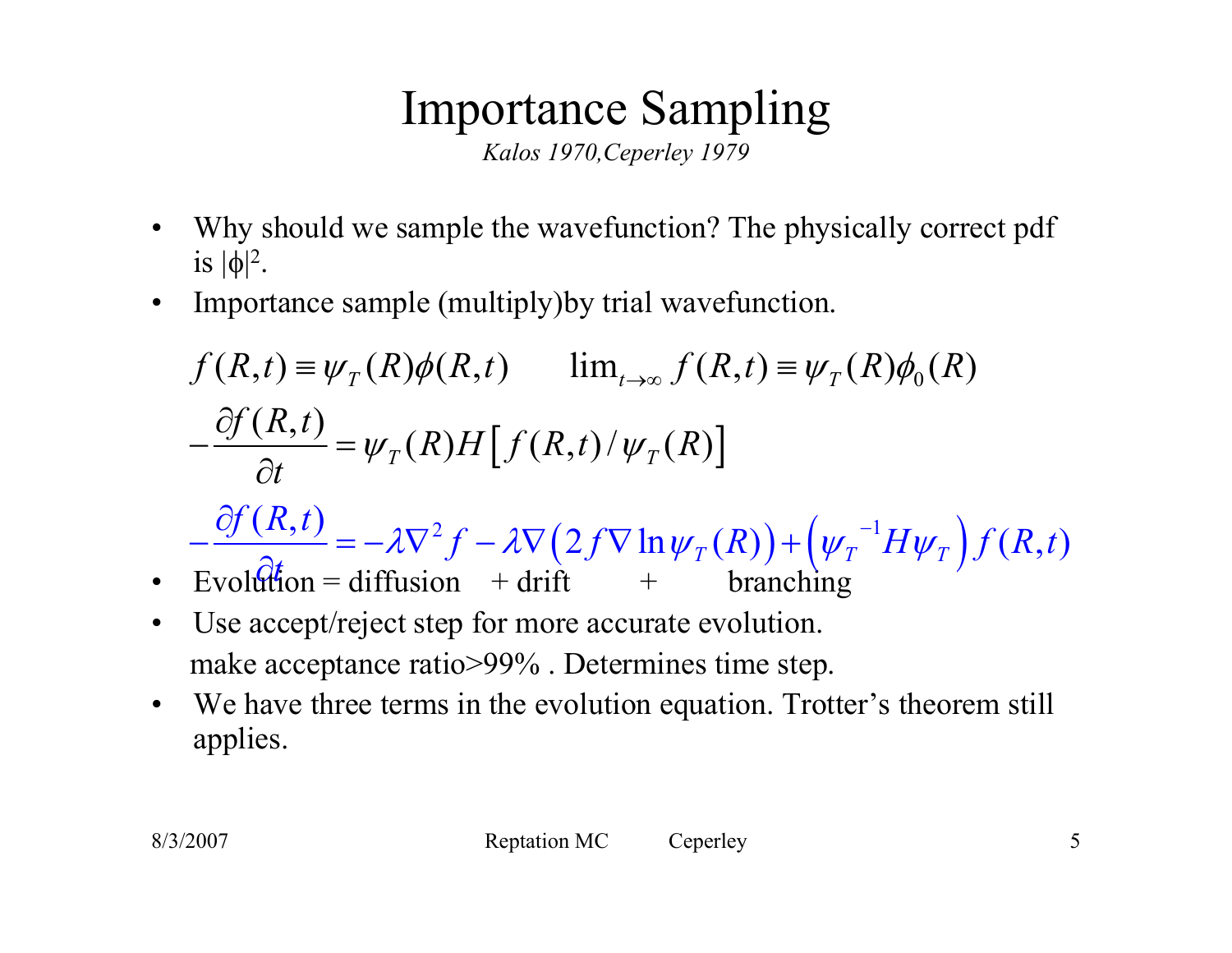# Importance Sampling

*Kalos 1970,Ceperley 1979*

- • Why should we sample the wavefunction? The physically correct pdf is  $|\phi|^2$ .
- $\bullet$ Importance sample (multiply)by trial wavefunction.

$$
f(R,t) \equiv \psi_T(R)\phi(R,t) \qquad \lim_{t \to \infty} f(R,t) \equiv \psi_T(R)\phi_0(R)
$$

$$
-\frac{\partial f(R,t)}{\partial t} = \psi_T(R)H[f(R,t)/\psi_T(R)]
$$

 $\mathcal{L}^2 f - \lambda \nabla (2 f \nabla \ln \psi_T(R)) + (\psi_T^{-1} H \psi_T)$  $\frac{(R,t)}{2} = -\lambda \nabla^2 f - \lambda \nabla (2f \nabla \ln \psi_T(R)) + (\psi_T^{-1} H \psi_T) f(R,t)$  $-\frac{\partial f(R,t)}{\partial t} = -\lambda \nabla^2 f - \lambda \nabla (2 f \nabla \ln \psi_r(R)) + (\psi_r^{-1})$ ∂  $\mathcal{F}_T(R)$  ) + (  $\mathcal{W}_T$   $H \mathcal{W}_T$  $\partial f(R,t)$  $f - \lambda \nabla (2f \nabla \ln \psi_T(R)) + (\psi_T^{-1}H\psi_T) f(R,t)$ 

- •Evolution = diffusion + drift + branching *t*
- $\bullet$  Use accept/reject step for more accurate evolution. make acceptance ratio>99% . Determines time step.
- $\bullet$  We have three terms in the evolution equation. Trotter's theorem still applies.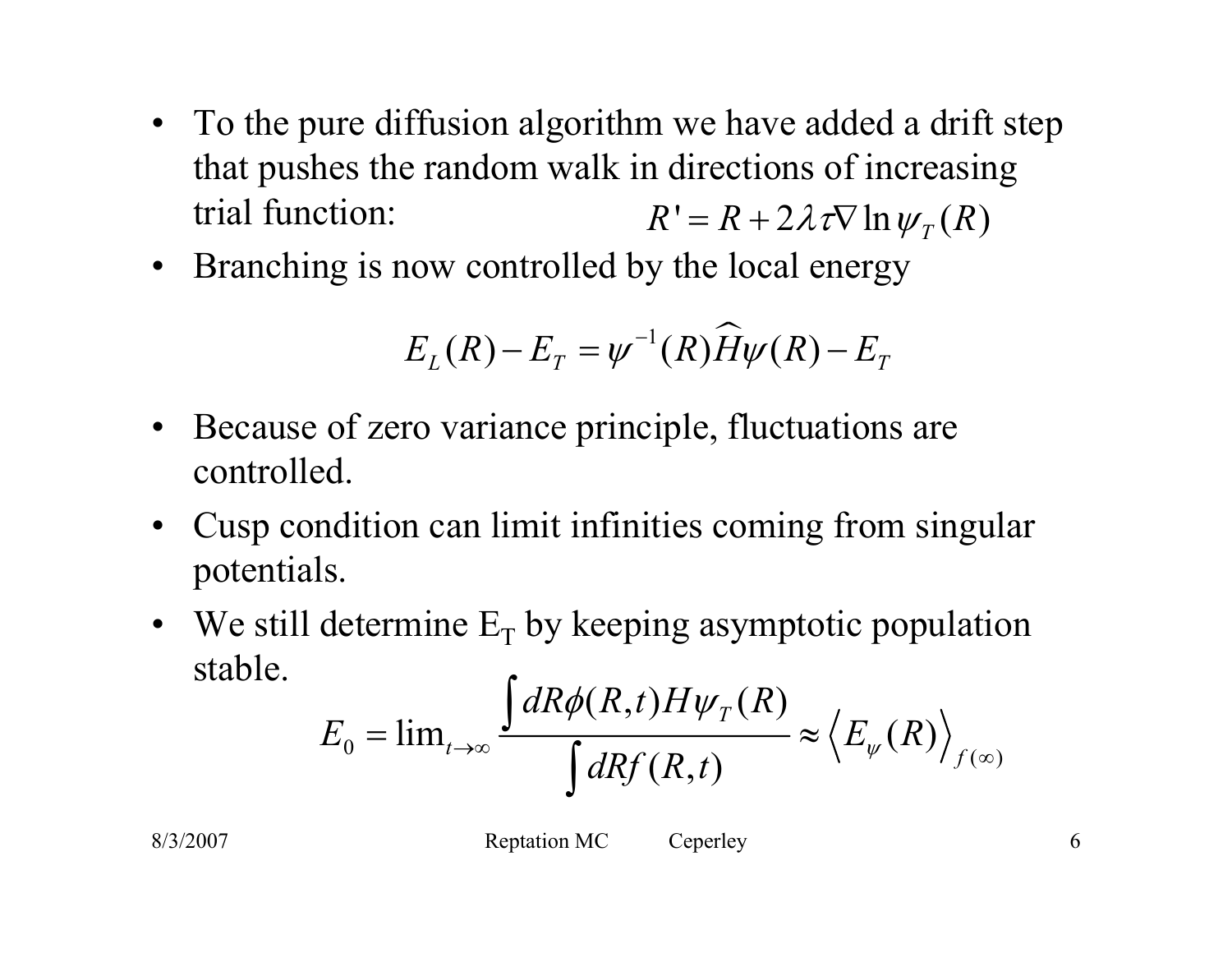- To the pure diffusion algorithm we have added a drift step that pushes the random walk in directions of increasing trial function:  $R' = R + 2\lambda \tau \nabla \ln \psi_{T}(R)$
- Branching is now controlled by the local energy

$$
E_L(R) - E_T = \psi^{-1}(R)\widehat{H}\psi(R) - E_T
$$

- Because of zero variance principle, fluctuations are controlled.
- Cusp condition can limit infinities coming from singular potentials.
- We still determine  $E_T$  by keeping asymptotic population stable.

$$
E_0 = \lim_{t \to \infty} \frac{\int dR \phi(R, t) H \psi_T(R)}{\int dR f(R, t)} \approx \left\langle E_{\psi}(R) \right\rangle_{f(\infty)}
$$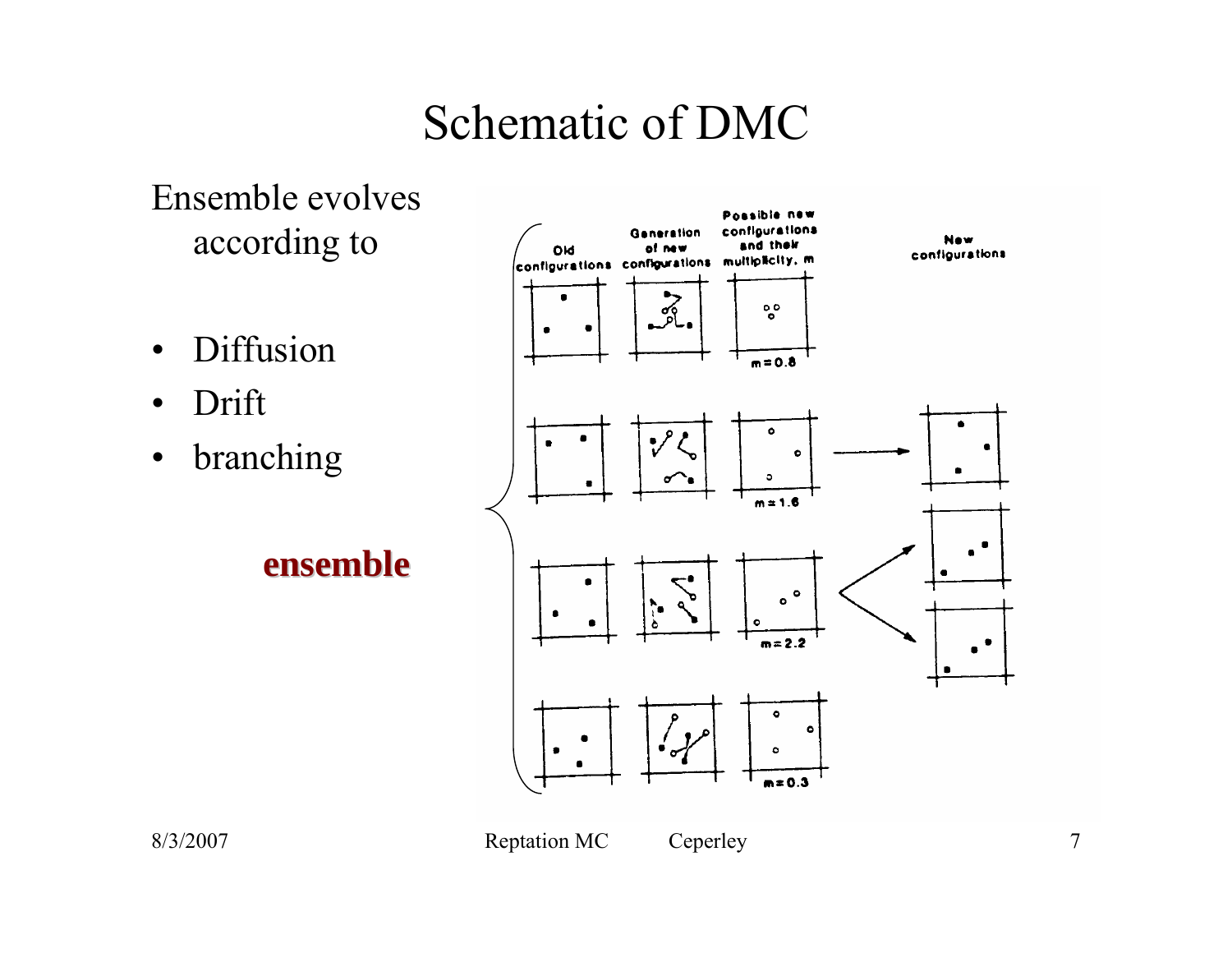## Schematic of DMC

Ensemble evolves according to

- •Diffusion
- •Drift
- •branching

**ensemble ensemble**

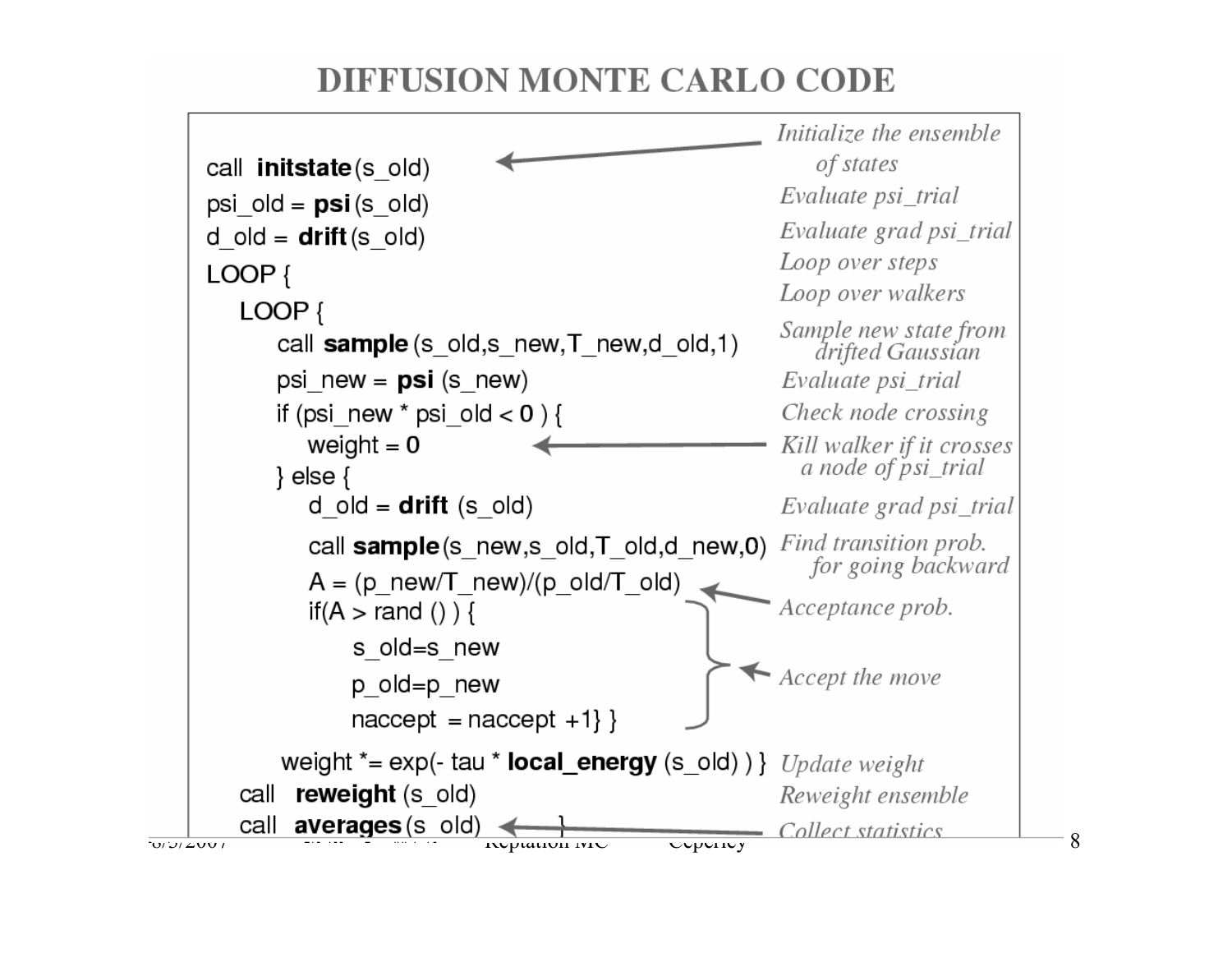#### **DIFFUSION MONTE CARLO CODE**

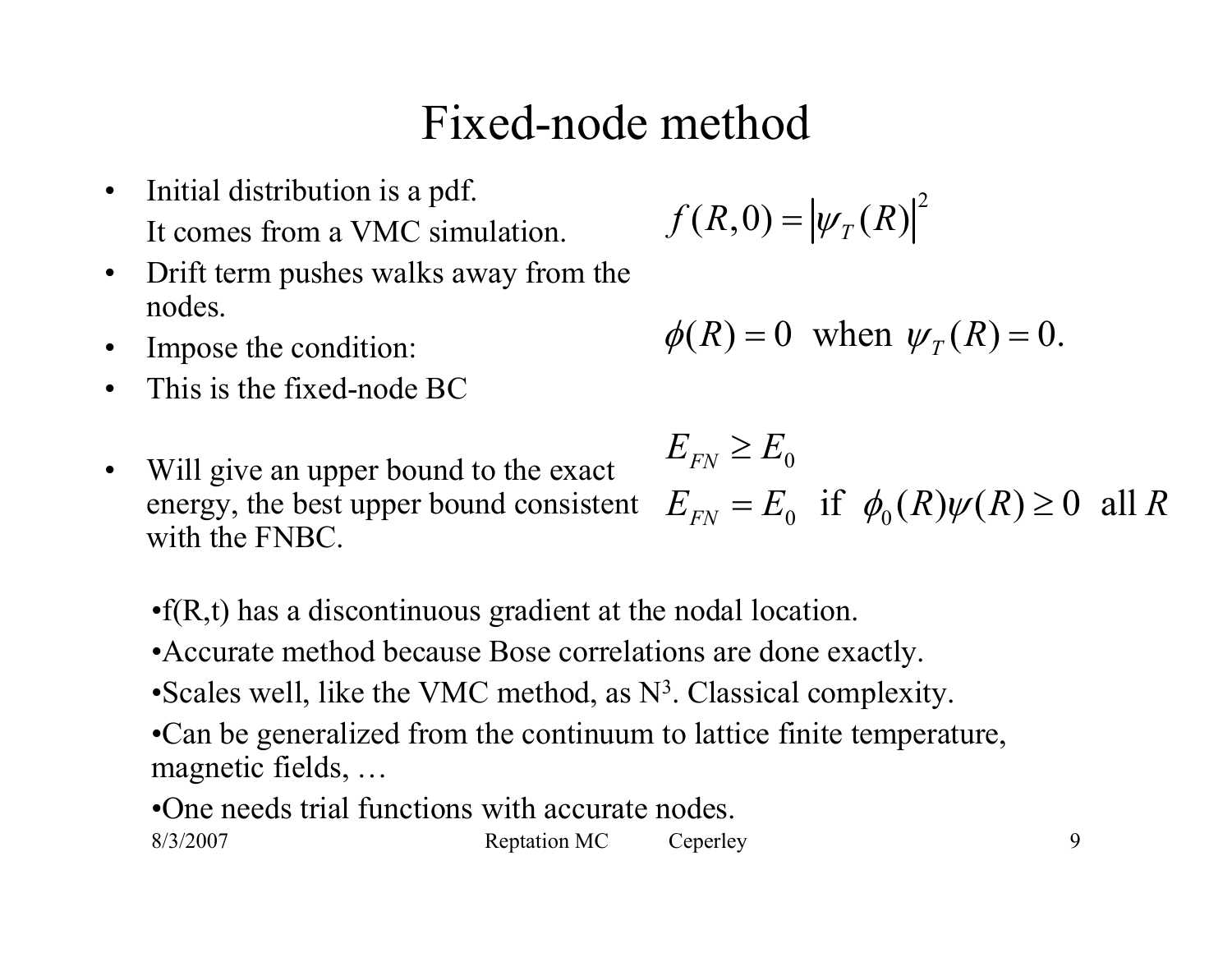### Fixed-node method

- $\bullet$  Initial distribution is a pdf. It comes from a VMC simulation.
- $\bullet$  Drift term pushes walks away from the nodes.
- •Impose the condition:
- $\bullet$ This is the fixed-node BC
- $\bullet$  Will give an upper bound to the exact energy, the best upper bound consistent with the FNBC.

$$
f(R,0)=|\psi_T(R)|^2
$$

$$
\phi(R) = 0 \text{ when } \psi_T(R) = 0.
$$

$$
E_{FN} \ge E_0
$$
  
 
$$
E_{FN} = E_0 \quad \text{if} \quad \phi_0(R)\psi(R) \ge 0 \quad \text{all } R
$$

•f(R,t) has a discontinuous gradient at the nodal location.

- •Accurate method because Bose correlations are done exactly.
- •Scales well, like the VMC method, as N 3. Classical complexity.
- •Can be generalized from the continuum to lattice finite temperature, magnetic fields, …
- 8/3/2007 Reptation MC Ceperley 9 •One needs trial functions with accurate nodes.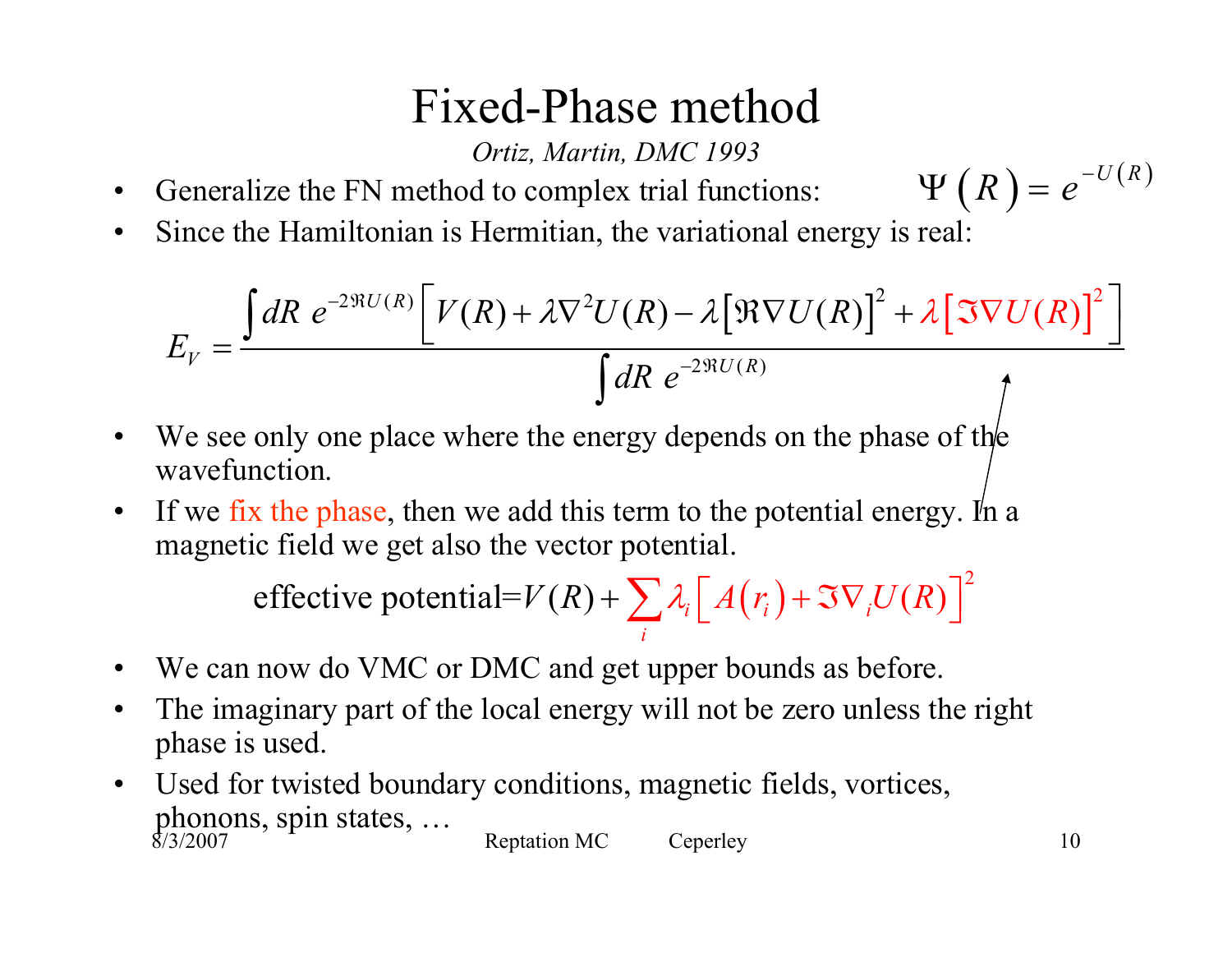### Fixed-Phase method

*Ortiz, Martin, DMC 1993*

- •Generalize the FN method to complex trial functions:
- $\bullet$ Since the Hamiltonian is Hermitian, the variational energy is real:

$$
E_V = \frac{\int dR \ e^{-2\Re U(R)} \left[ V(R) + \lambda \nabla^2 U(R) - \lambda \left[ \Re \nabla U(R) \right]^2 + \lambda \left[ \Im \nabla U(R) \right]^2 \right]}{\int dR \ e^{-2\Re U(R)}} \Bigg)
$$

- •We see only one place where the energy depends on the phase of the wavefunction.
- •If we fix the phase, then we add this term to the potential energy. In a magnetic field we get also the vector potential.

 $(r_i)+\Im\nabla_i U(R)^{\bigcap}$ effective potential= $V(R) + \sum_{i} \lambda_i \left[ A(r_i) + \Im \nabla_i U(R) \right]$  $V(R) + \sum \lambda_i \left[ A(r_i) + \Im \nabla_i U(R) \right]$ 

- •We can now do VMC or DMC and get upper bounds as before.
- $\bullet$  The imaginary part of the local energy will not be zero unless the right phase is used.
- 8/3/2007 Reptation MC Ceperley 10  $\bullet$  Used for twisted boundary conditions, magnetic fields, vortices, phonons, spin states, …

 $\Psi(R) = e^{-U(R)}$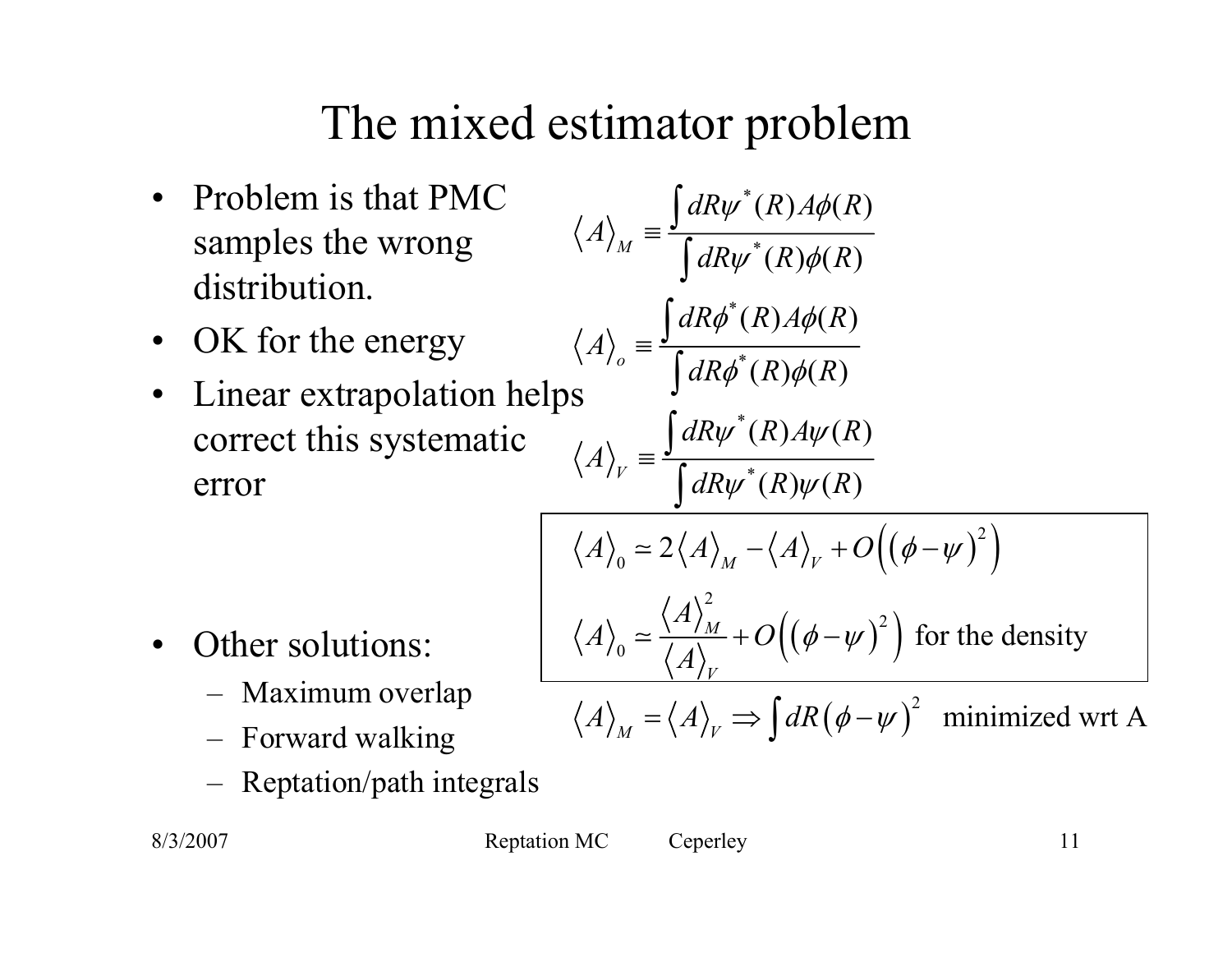# The mixed estimator problem

- Problem is that PMC samples the wrong distribution.
- OK for the energy
- $\bullet$  Linear extrapolation helps correct this systematic error

$$
A\rangle_{M} = \frac{\int dR\psi^*(R)A\phi(R)}{\int dR\psi^*(R)\phi(R)}
$$

$$
A\rangle_{o} = \frac{\int dR\phi^*(R)A\phi(R)}{\int dR\phi^*(R)\phi(R)}
$$

$$
A\rangle_{V} = \frac{\int dR\psi^*(R)A\psi(R)}{\int dR\psi^*(R)\psi(R)}
$$

$$
\langle A \rangle_0 \simeq 2 \langle A \rangle_M - \langle A \rangle_V + O((\phi - \psi)^2)
$$

$$
\langle A \rangle_0 \simeq \frac{\langle A \rangle_M^2}{\langle A \rangle_V} + O((\phi - \psi)^2) \text{ for the density}
$$

∫

 $\langle A \rangle_{M} = \langle A \rangle_{V} \Rightarrow \int dR (\phi - \psi)^{2}$  minimized wrt A

- $\bullet$  Other solutions:
	- Maximum overlap
	- –Forward walking
	- Reptation/path integrals

8/3/2007 Reptation MC Ceperley 11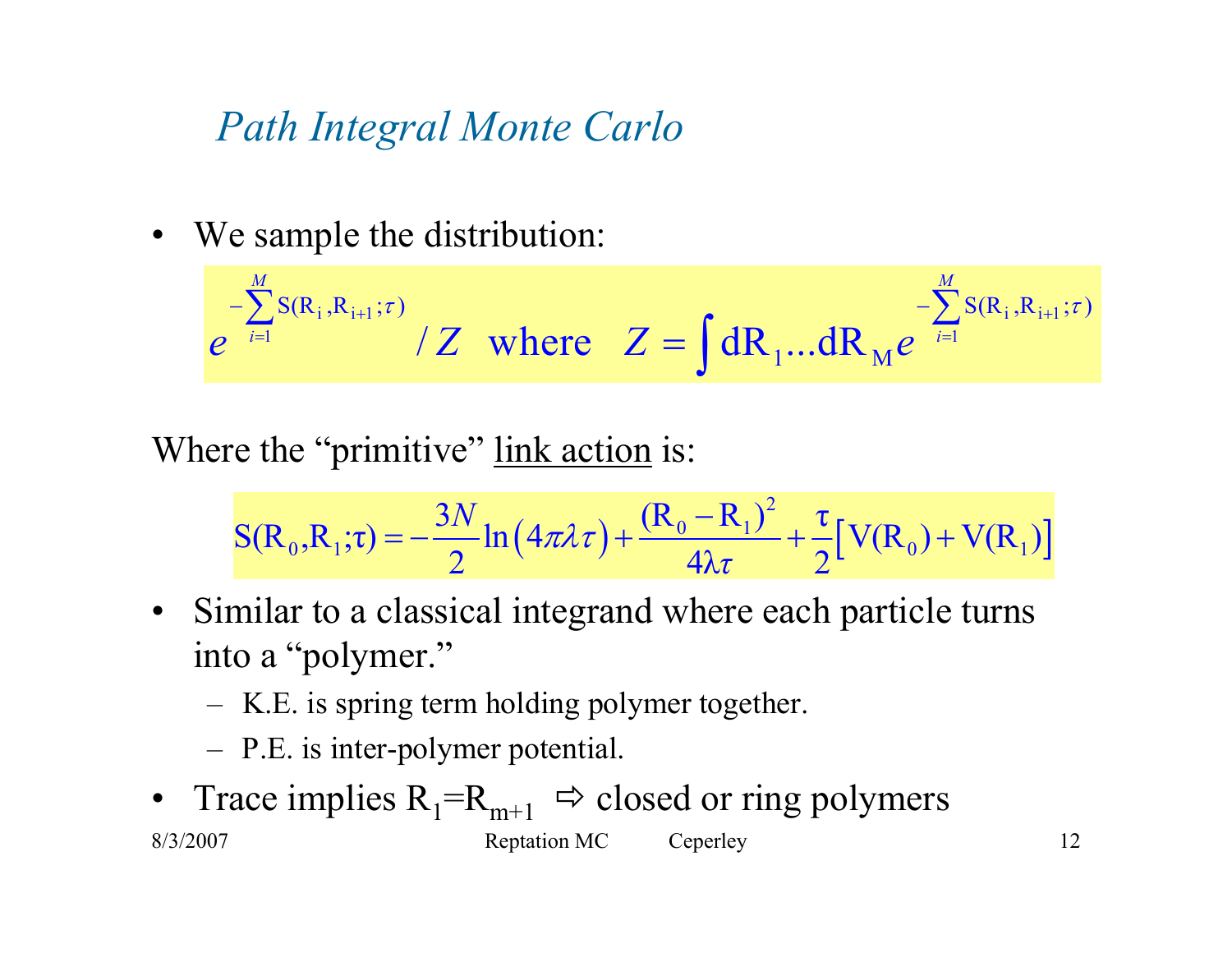#### *Path Integral Monte Carlo*

• We sample the distribution:

$$
e^{-\sum_{i=1}^{M} S(R_i, R_{i+1}; \tau)} / Z \text{ where } Z = \int dR_1 ... dR_M e^{-\sum_{i=1}^{M} S(R_i, R_{i+1}; \tau)}
$$

Where the "primitive" link action is:

$$
S(R_0, R_1; \tau) = -\frac{3N}{2} \ln(4\pi \lambda \tau) + \frac{(R_0 - R_1)^2}{4\lambda \tau} + \frac{\tau}{2} [V(R_0) + V(R_1)]
$$

- Similar to a classical integrand where each particle turns into a "polymer."
	- –K.E. is spring term holding polymer together.
	- –P.E. is inter-polymer potential.
- 8/3/2007 Reptation MC Ceperley 12  $\bullet$ Trace implies  $R_1=R_{m+1} \Rightarrow$  closed or ring polymers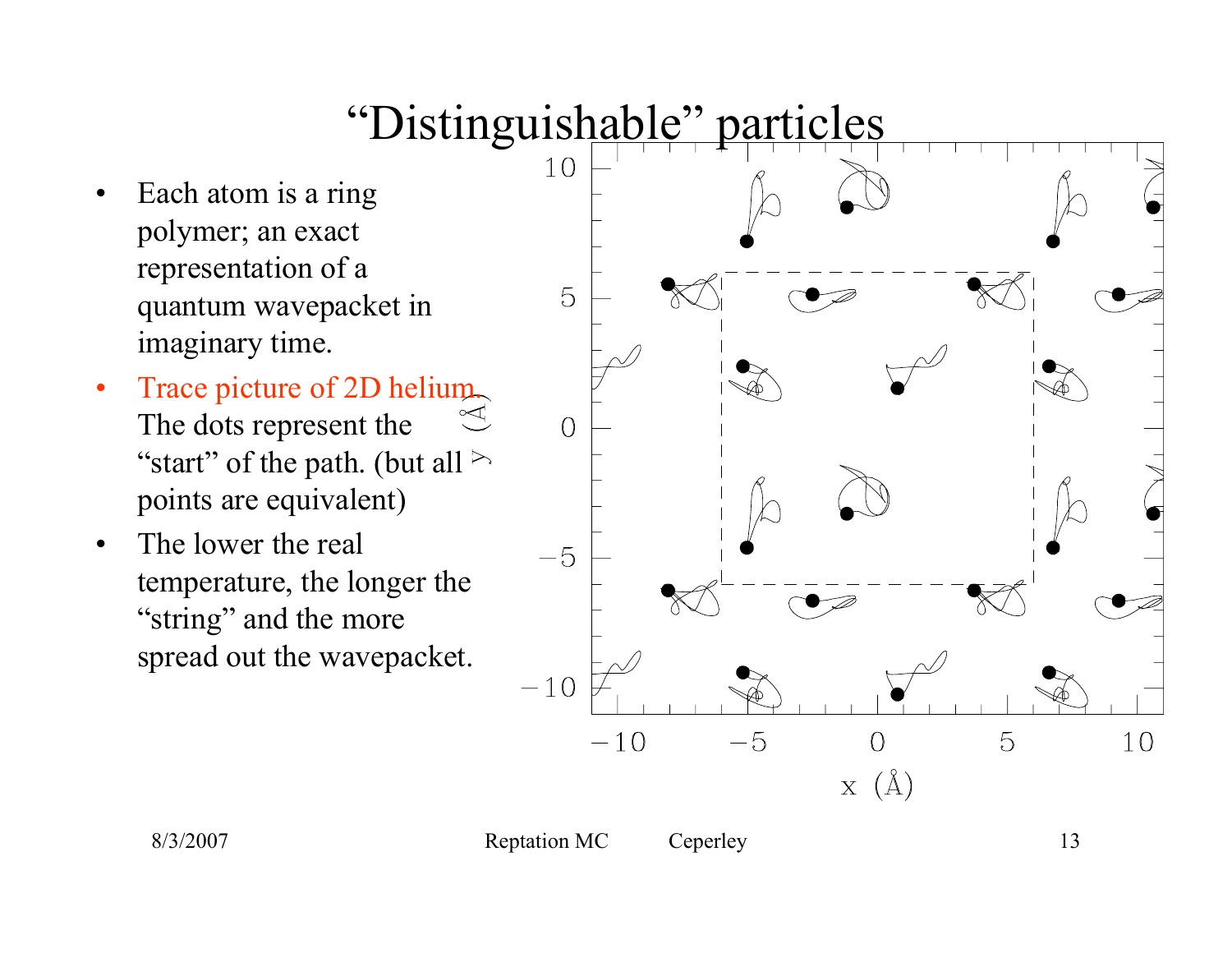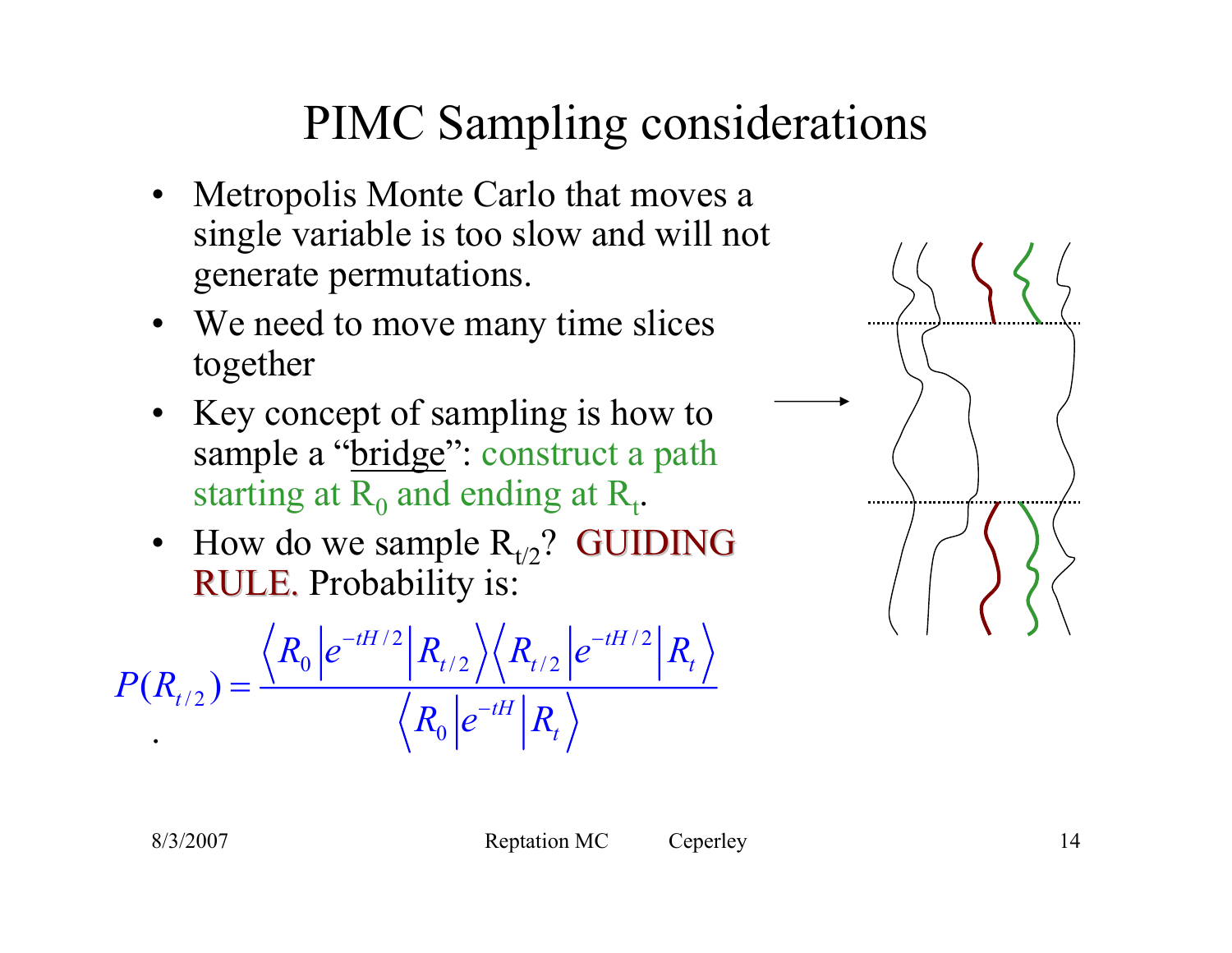## PIMC Sampling considerations

- $\bullet$  Metropolis Monte Carlo that moves a single variable is too slow and will not generate permutations.
- We need to move many time slices together
- Key concept of sampling is how to sample a "bridge": construct a path starting at  $R_0$  and ending at  $R_t$ .
- How do we sample  $R_{t/2}$ ? GUIDING RULE. Probability is:

$$
P(R_{t/2}) = \frac{\langle R_0 | e^{-tH/2} | R_{t/2} \rangle \langle R_{t/2} | e^{-tH/2} | R_t \rangle}{\langle R_0 | e^{-tH} | R_t \rangle}
$$

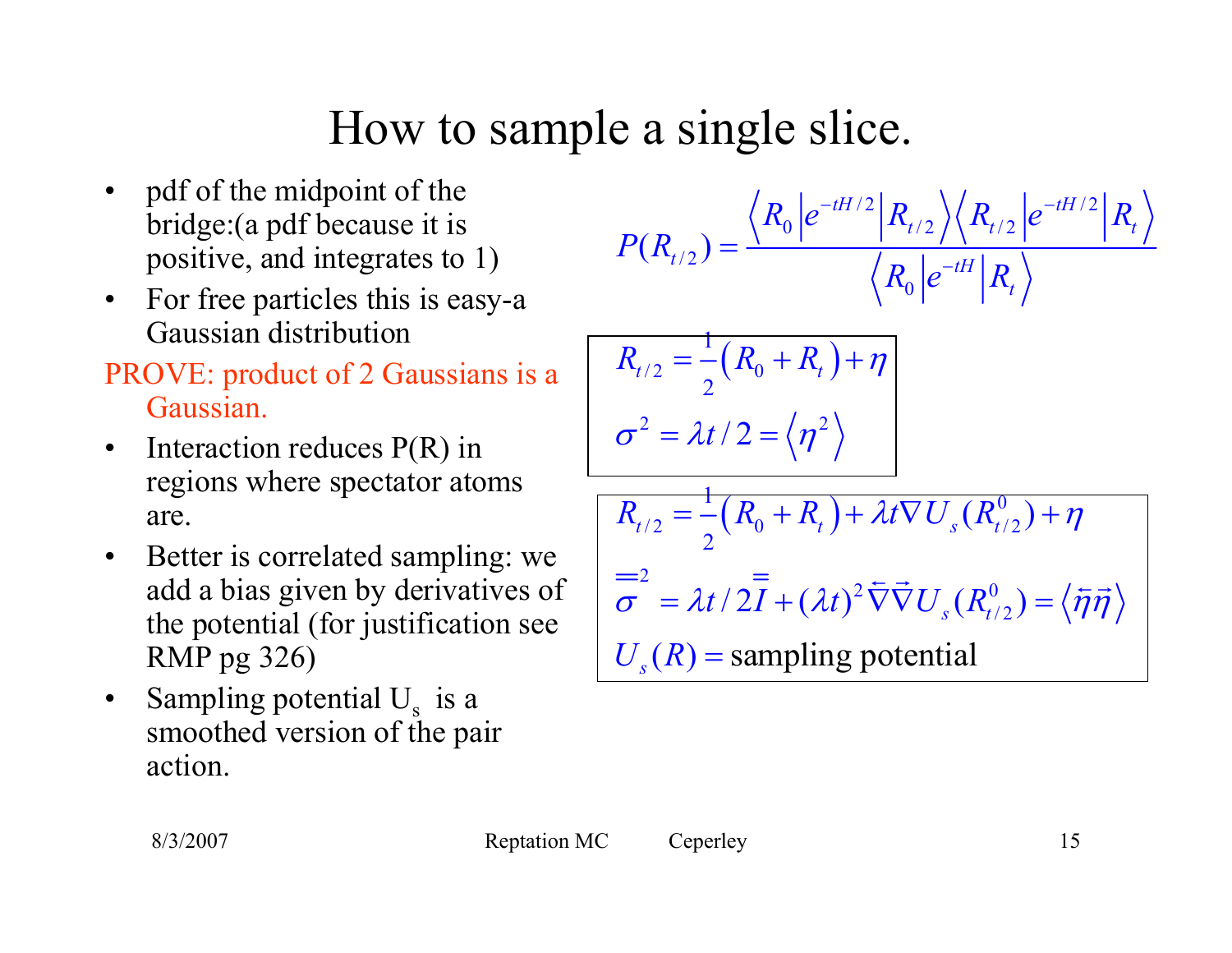## How to sample a single slice.

- $\bullet$  pdf of the midpoint of the bridge:(a pdf because it is positive, and integrates to 1)
- $\bullet$  For free particles this is easy-a Gaussian distribution
- PROVE: product of 2 Gaussians is a Gaussian.
- $\bullet$  Interaction reduces P(R) in regions where spectator atoms are.
- $\bullet$  Better is correlated sampling: we add a bias given by derivatives of the potential (for justification see RMP pg 326)
- $\bullet$ Sampling potential  $U_s$  is a smoothed version of the pair action.

$$
P(R_{t/2}) = \frac{\langle R_0 | e^{-tH/2} | R_{t/2} \rangle \langle R_{t/2} | e^{-tH/2} | R_t \rangle}{\langle R_0 | e^{-tH} | R_t \rangle}
$$

$$
R_{t/2} = \frac{1}{2} (R_0 + R_t) + \eta
$$
  

$$
\sigma^2 = \lambda t / 2 = \langle \eta^2 \rangle
$$

$$
\overline{R_{t/2}} = \frac{1}{2} (\overline{R_0} + \overline{R_t}) + \lambda t \nabla U_s (R_{t/2}^0) + \eta
$$
  
=2  

$$
\overline{\sigma}^2 = \lambda t / 2\overline{I} + (\lambda t)^2 \overline{\nabla} \overline{\nabla} U_s (R_{t/2}^0) = \langle \overline{\eta} \overline{\eta} \rangle
$$
  

$$
U_s (R) = \text{sampling potential}
$$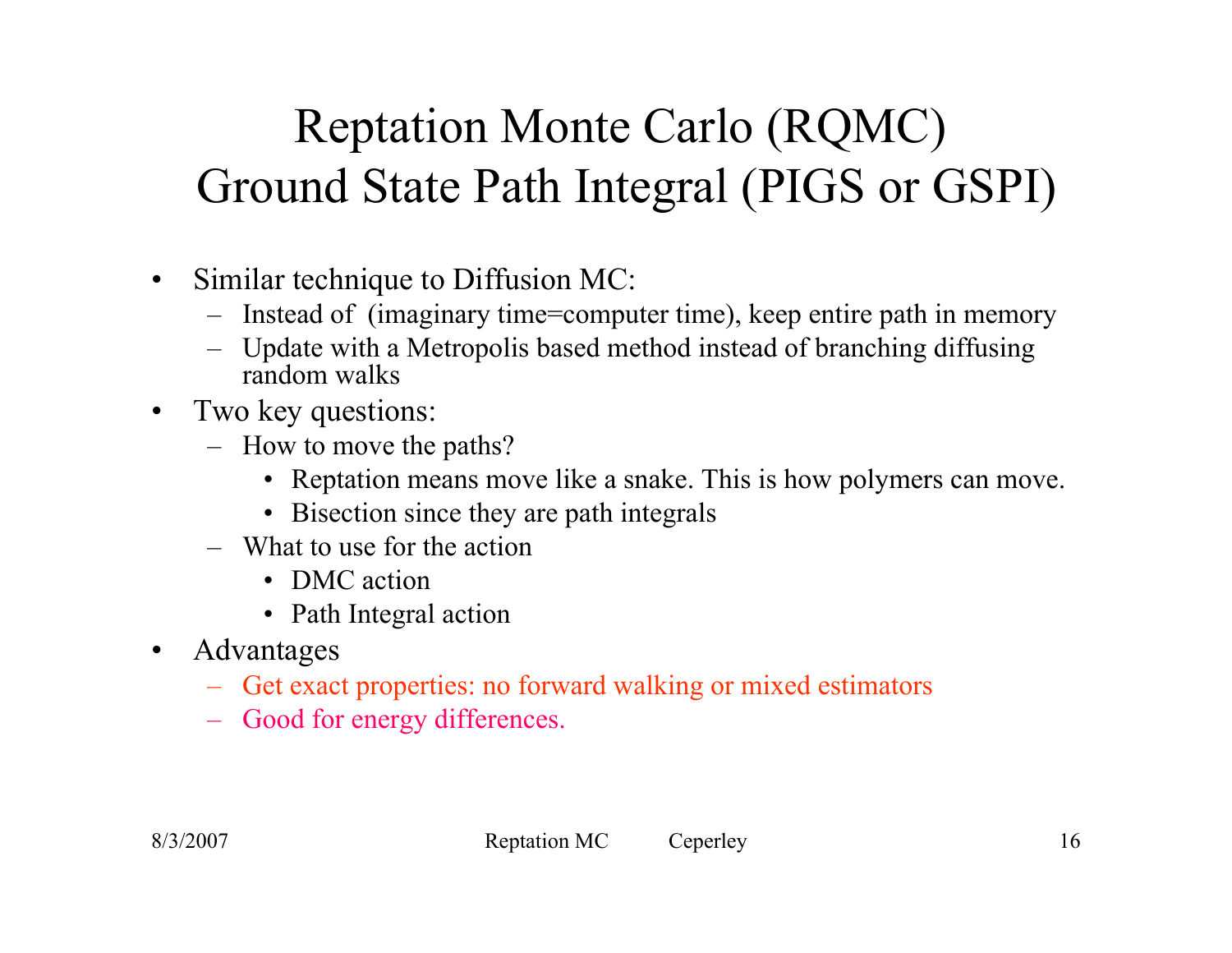# Reptation Monte Carlo (RQMC) Ground State Path Integral (PIGS or GSPI)

- $\bullet$  Similar technique to Diffusion MC:
	- Instead of (imaginary time=computer time), keep entire path in memory
	- Update with a Metropolis based method instead of branching diffusing random walks
- $\bullet$  Two key questions:
	- How to move the paths?
		- Reptation means move like a snake. This is how polymers can move.
		- Bisection since they are path integrals
	- What to use for the action
		- DMC action
		- Path Integral action
- $\bullet$  Advantages
	- Get exact properties: no forward walking or mixed estimators
	- Good for energy differences.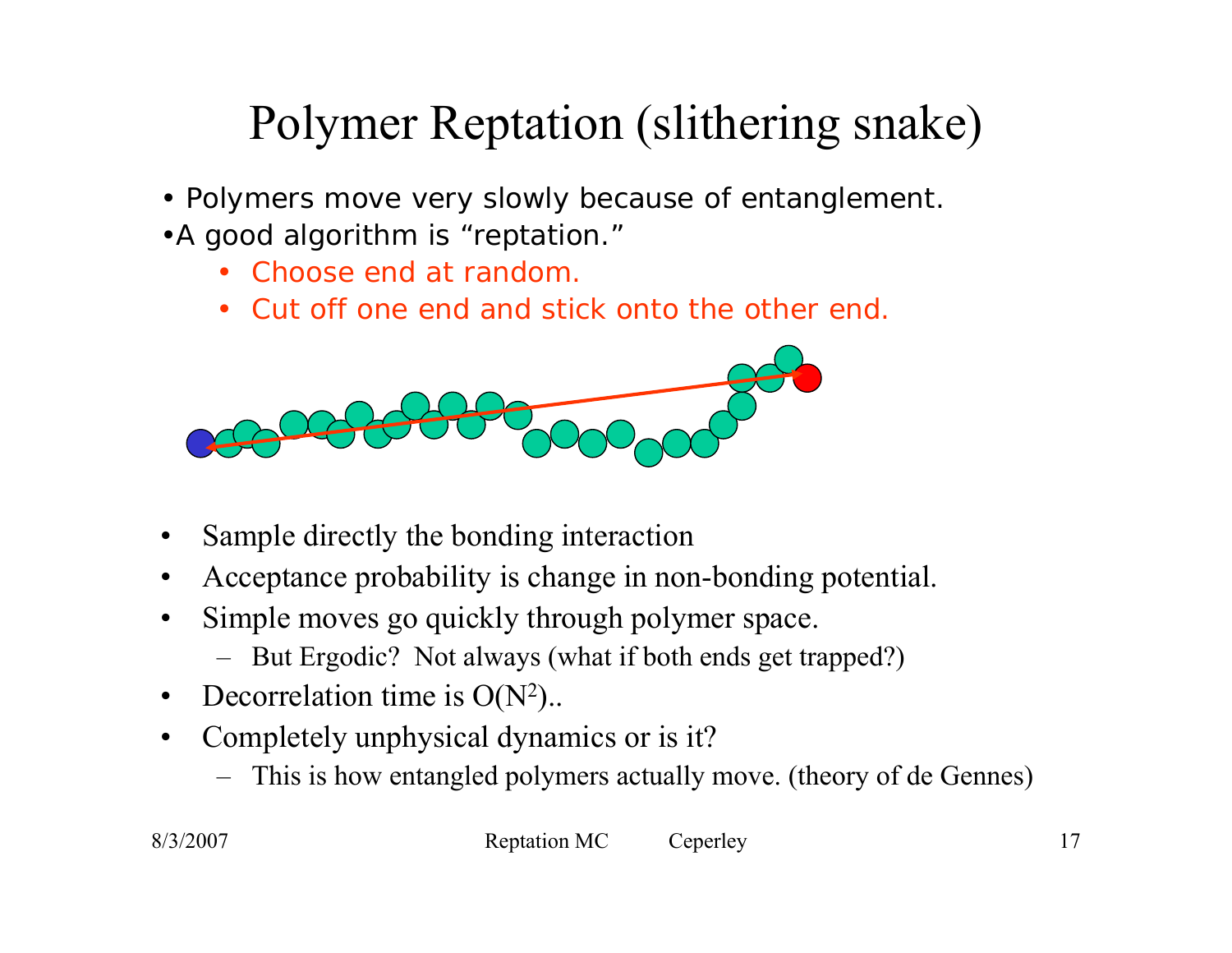# Polymer Reptation (slithering snake)

- Polymers move very slowly because of entanglement.
- •A good algorithm is "reptation."
	- *Choose end at random.*
	- *Cut off one end and stick onto the other end.*



- •Sample directly the bonding interaction
- •Acceptance probability is change in non-bonding potential.
- • Simple moves go quickly through polymer space.
	- But Ergodic? Not always (what if both ends get trapped?)
- $\bullet$ Decorrelation time is  $O(N^2)$ .
- $\bullet$  Completely unphysical dynamics or is it?
	- This is how entangled polymers actually move. (theory of de Gennes)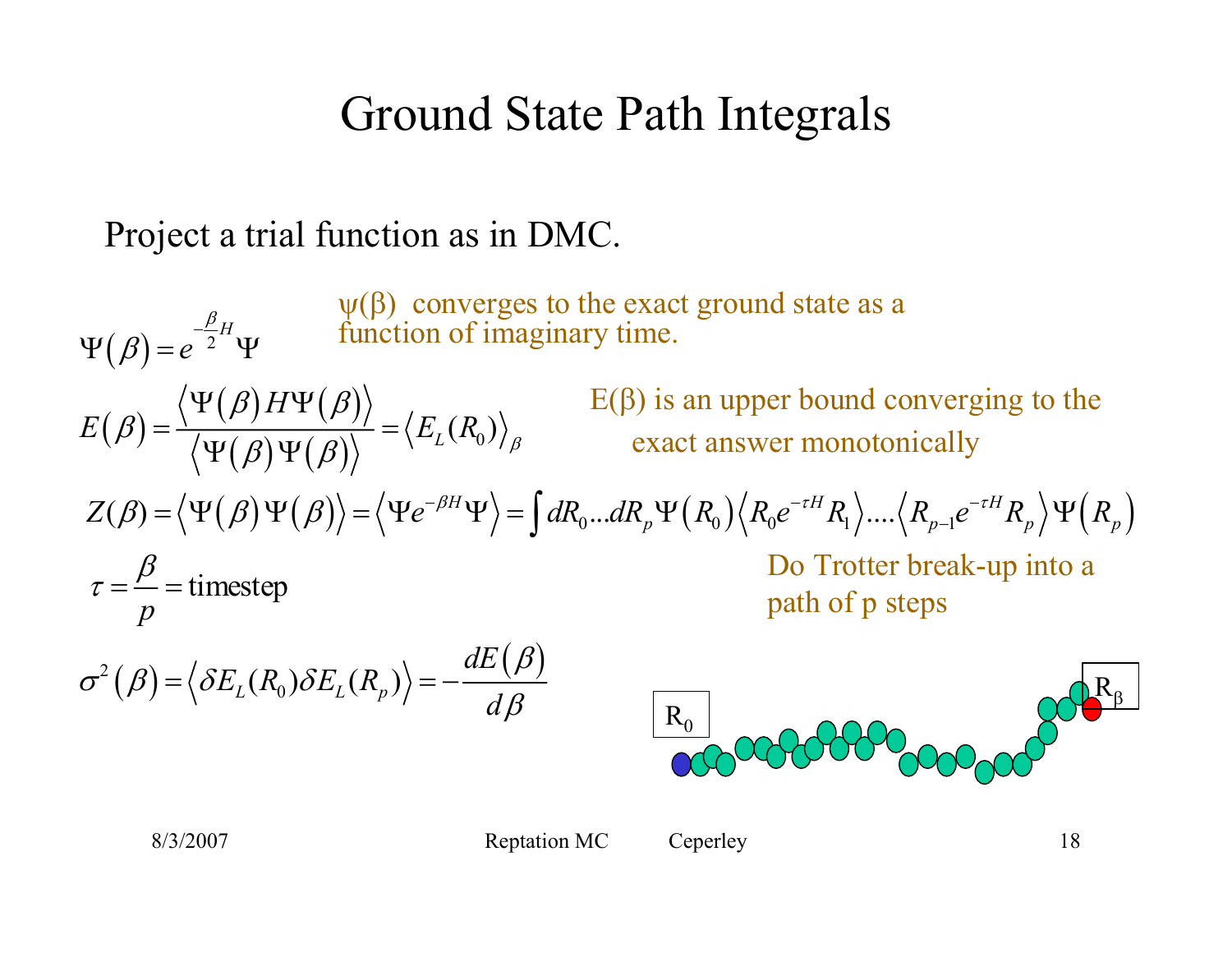## Ground State Path Integrals

#### Project a trial function as in DMC.

 $E(\beta)$  is an upper bound converging to the exact answer monotonically  $(\beta) = e^{-2}$  $(\beta){=}\frac{\left\langle \Psi (\beta) H \Psi (\beta)\right\rangle}{\left\langle \Psi (\beta) \Psi (\beta)\right\rangle}$  $Z(\beta) = \langle \Psi(\beta) \Psi(\beta) \rangle = \langle \Psi e^{-\beta H} \Psi \rangle = \int dR_0 ... dR_p \Psi(R_0) \langle R_0 e^{-\tau H} R_1 \rangle ... \langle R_{p-1} e^{-\tau H} R_p \rangle \Psi(R_p)$  $(\beta) = \langle \delta E_L(R_0) \delta E_L(R_p) \rangle = -\frac{dE(\beta)}{dE(\beta)}$  $L(R_0)\big\rangle_{\beta}$  $\partial^2(\beta) = \big\langle \delta E_L(R_0) \delta E_L(R_p) \big\rangle$  $\tau = \frac{P}{I} =$ timestep  $e^{-\frac{P}{2}H}$  $Z(\beta) = \langle \Psi(\beta) \Psi(\beta) \rangle = \langle \Psi e^{-\beta H} \Psi \rangle = \int dR_0 ... dR_p \Psi(R_0) \langle R_0 e^{-\tau H} R_1 \rangle ... \langle R_{p-1} e^{-\tau H} R_p \rangle \Psi(R_p)$  $E(\beta) = \frac{\langle \Psi(\beta) H \Psi(\beta) \rangle}{\langle \Psi(\beta) \Psi(\beta) \rangle} = \langle E_L(R_0) \rangle_{\beta}$ *p*  $\langle E_L(R_0)\delta E_L(R_p)\rangle = -\frac{dE}{d\tau}$ β  $\langle A(\beta)\Psi(\beta)\rangle = \langle \Psi e^{-\beta H}\Psi \rangle = \int dR_0...dR_n\Psi(R_0)\langle R_0e^{-\tau H}R_1\rangle....\langle R_{n-1}e^{-\tau H}R_n\rangle$  $\Psi(\beta) = e^{-2H} \Psi$  $\beta) H \Psi (\beta)$  $\beta$  =  $\frac{\gamma}{\sqrt{\Psi(\beta)\Psi(\beta)}}$  $\beta$  $\tau =$   $=$  $\sigma^2(\beta) = \langle \delta E_L(R_0) \delta E_L(R_n) \rangle = -\frac{dE(\beta)}{dE(\beta)}$  $\beta$  $=\left\langle \Psi(\beta)\Psi(\beta)\right\rangle =\left\langle \Psi e^{-\beta H}\Psi\right\rangle =\int dR_{0}...dR_{p}\Psi\left(R_{0}\right)\left\langle R_{0}e^{-\tau H}R_{1}\right\rangle....\left\langle R_{p-1}e^{-\tau H}R_{p}\right\rangle \Psi$  $\Psi(\beta)H\Psi$  $=$   $\frac{1}{2}$   $\frac{1}{2}$   $\frac{1}{2}$   $\frac{1}{2}$   $\frac{1}{2}$   $\frac{1}{2}$   $\frac{1}{2}$   $\frac{1}{2}$   $\frac{1}{2}$   $\frac{1}{2}$   $\frac{1}{2}$   $\frac{1}{2}$   $\frac{1}{2}$   $\frac{1}{2}$   $\frac{1}{2}$   $\frac{1}{2}$   $\frac{1}{2}$   $\frac{1}{2}$   $\frac{1}{2}$   $\frac{1}{2}$   $\frac{1}{2}$   $\frac$  $\Psi(\beta)\Psi$  $=$   $\langle$   $OL_{I}$   $(K_{0})$   $OL_{I}$   $(K_{n})$   $\rangle = -$ R0Rβ  $\psi(\beta)$  converges to the exact ground state as a function of imaginary time. Do Trotter break-up into a path of p steps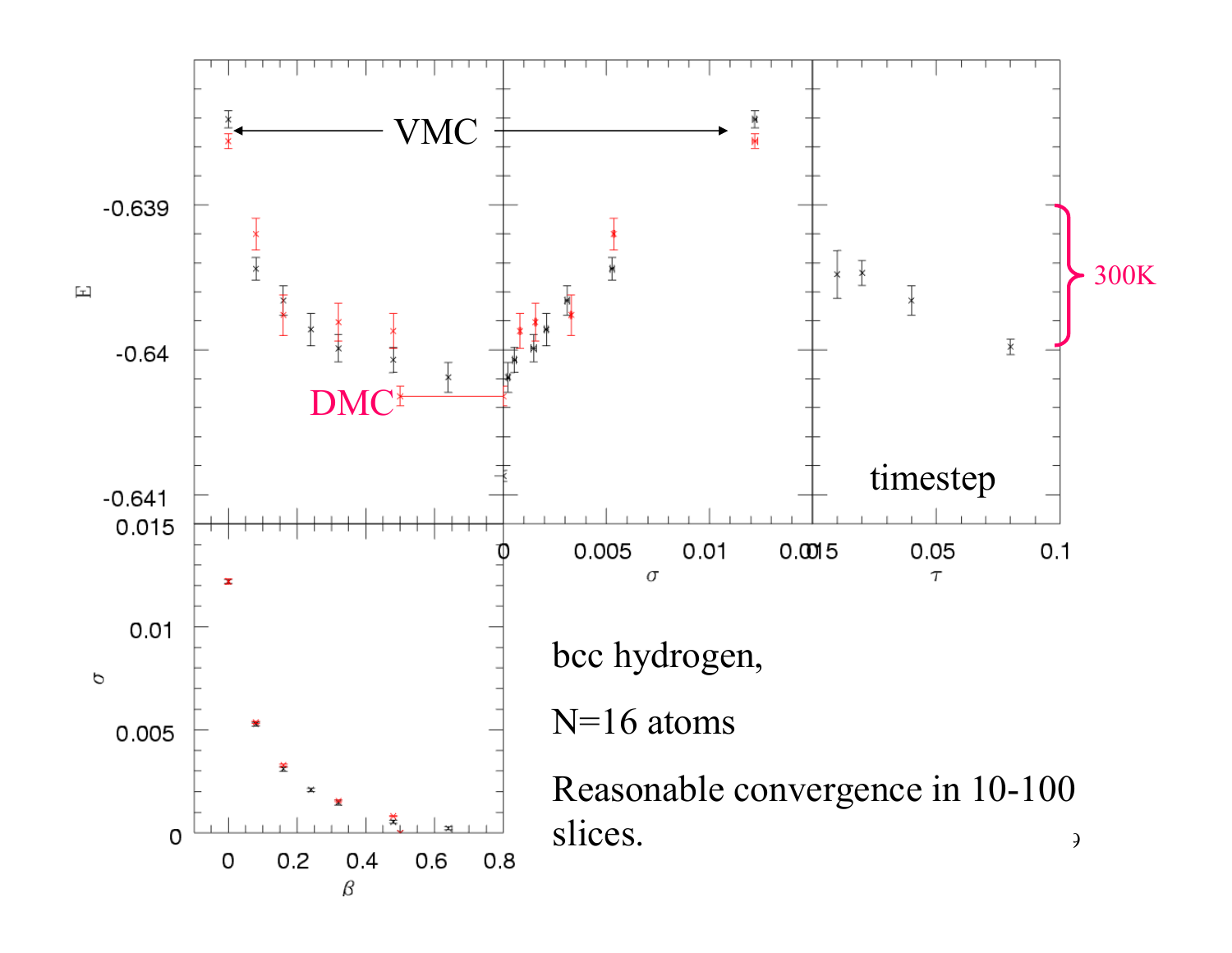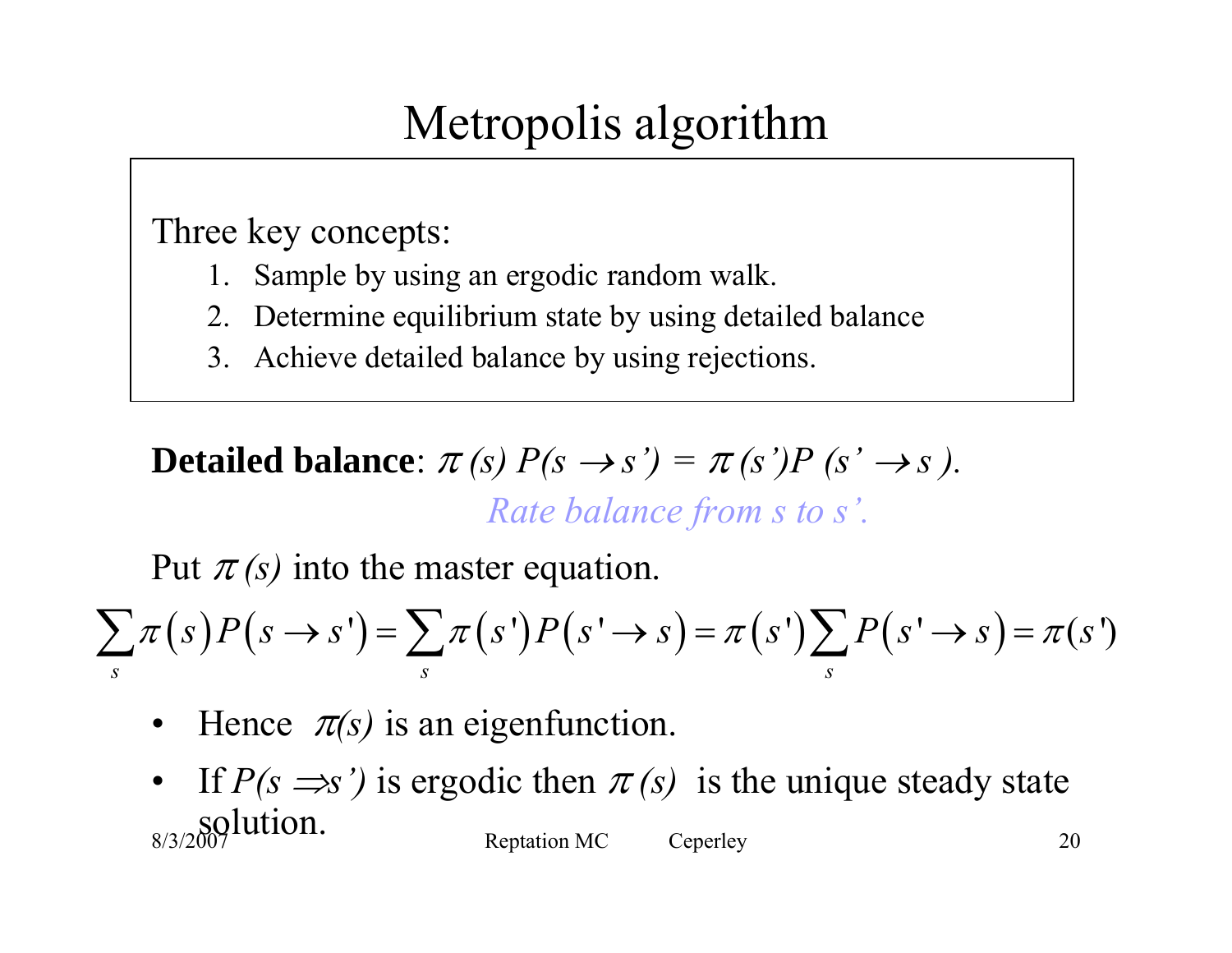## Metropolis algorithm

Three key concepts:

- 1. Sample by using an ergodic random walk.
- 2. Determine equilibrium state by using detailed balance
- 3. Achieve detailed balance by using rejections.

**Detailed balance**:  $\pi(s) P(s \rightarrow s') = \pi(s') P(s' \rightarrow s)$ . *Rate balance from s to s'.*

Put  $\pi(s)$  into the master equation.

$$
\sum_{s} \pi(s) P(s \to s') = \sum_{s} \pi(s') P(s' \to s) = \pi(s') \sum_{s} P(s' \to s) = \pi(s')
$$

- $\bullet$ Hence  $\pi(s)$  is an eigenfunction.
- 8/3/2007 Presence Reptation MC Ceperley 20 • If  $P(s \implies')$  is ergodic then  $\pi(s)$  is the unique steady state solution.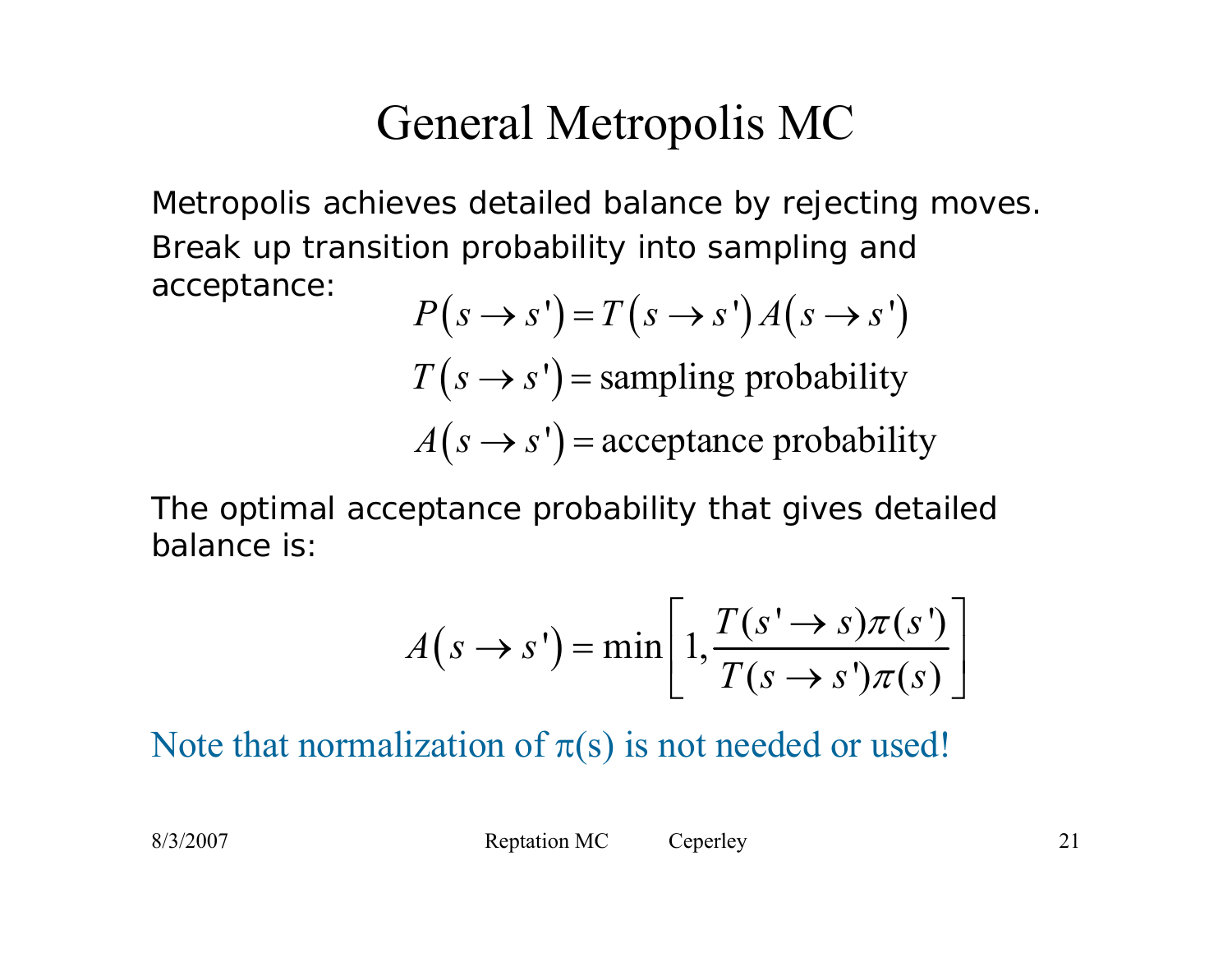### General Metropolis MC

Metropolis achieves detailed balance by *rejecting* moves. Break up transition probability into sampling and acceptance:

$$
P(s \rightarrow s') = T(s \rightarrow s')A(s \rightarrow s')
$$
  
T(s \rightarrow s') = sampling probability  
A(s \rightarrow s') = acceptance probability

The optimal acceptance probability that gives detailed balance is:

$$
A(s \to s') = \min \left[ 1, \frac{T(s' \to s)\pi(s')}{T(s \to s')\pi(s)} \right]
$$

Note that normalization of  $\pi(s)$  is not needed or used!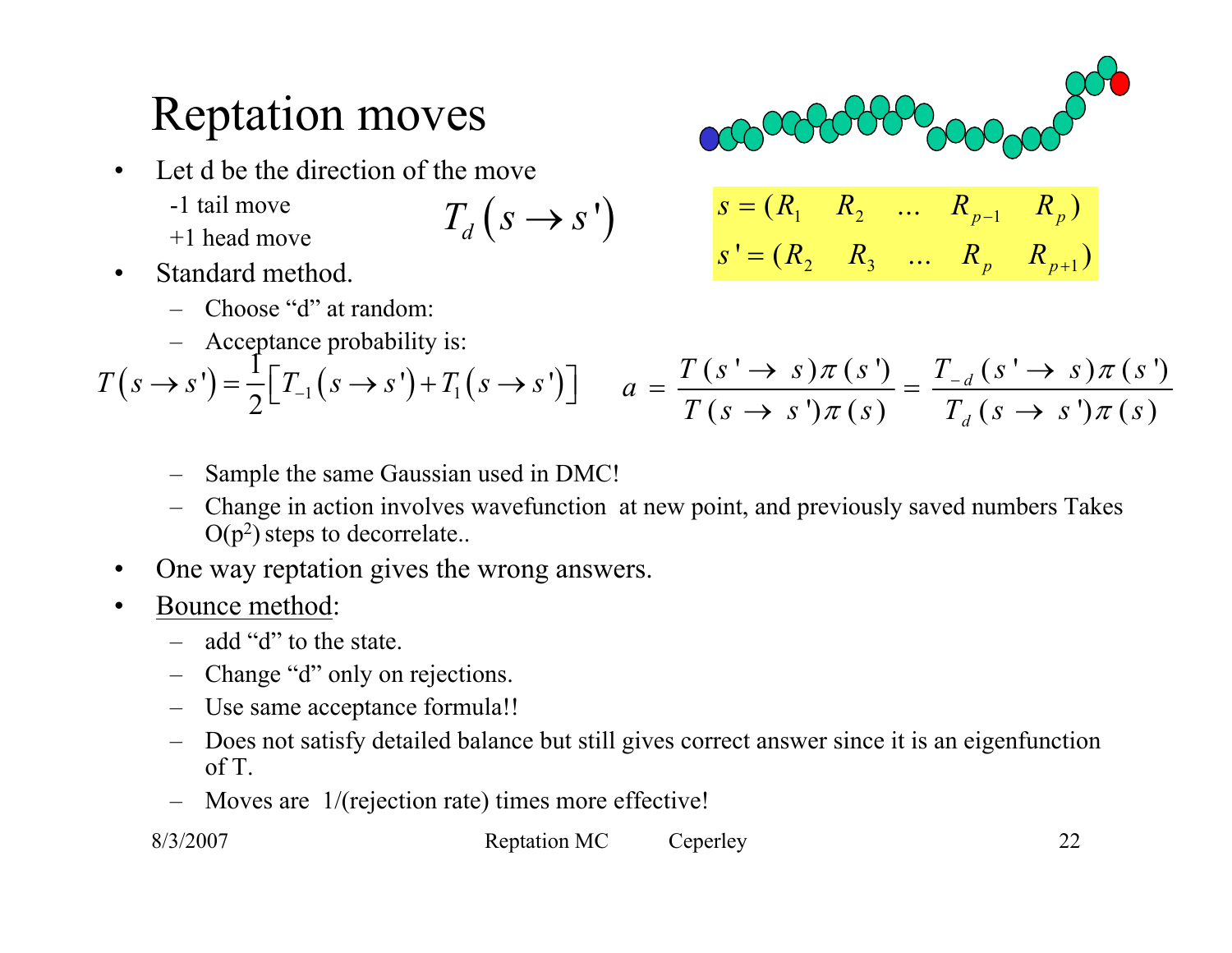### Reptation moves

- $\bullet$  Let d be the direction of the move
	- -1 tail move
	- +1 head move

$$
T_d\left(s\to s'\right)
$$

- $\bullet$  Standard method.
	- Choose "d" at random:
	- –Acceptance probability is:

$$
\begin{array}{ccc}\n & & & & \\
\hline\n\text{OCOCOCOCOC} & & & & \\
\hline\nS = (R_1 \quad R_2 \quad \dots \quad R_{p-1} \quad R_p) \\
S' = (R_2 \quad R_3 \quad \dots \quad R_p \quad R_{p+1})\n\end{array}
$$

2  $\mathbf{R}_3$   $\cdots$   $\mathbf{R}_p$   $\mathbf{R}_{p+1}$ 

*p*  $\frac{1}{p+1}$ 

$$
T(s \to s') = \frac{1}{2} \Big[ T_{-1}(s \to s') + T_1(s \to s') \Big] \qquad a = \frac{T(s' \to s)\pi(s')}{T(s \to s')\pi(s)} = \frac{T_{-d}(s' \to s)\pi(s')}{T_d(s \to s')\pi(s)}
$$

- –Sample the same Gaussian used in DMC!
- Change in action involves wavefunction at new point, and previously saved numbers Takes  $O(p^2)$  steps to decorrelate..
- $\bullet$ One way reptation gives the wrong answers.
- • Bounce method:
	- add "d" to the state.
	- Change "d" only on rejections.
	- Use same acceptance formula!!
	- Does not satisfy detailed balance but still gives correct answer since it is an eigenfunction of T.
	- Moves are 1/(rejection rate) times more effective!

8/3/2007 Reptation MC Ceperley 22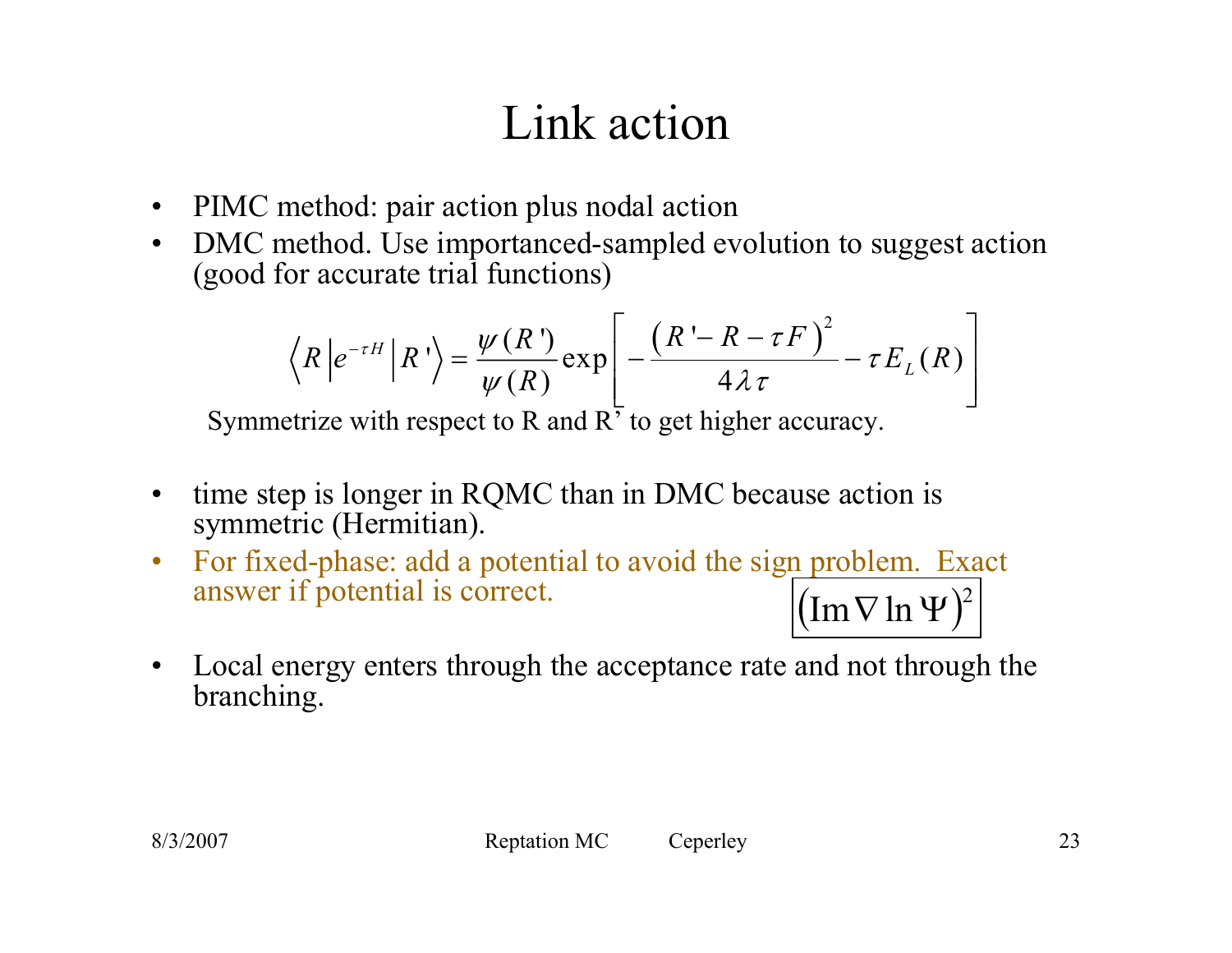## Link action

- $\bullet$ PIMC method: pair action plus nodal action
- $\bullet$  DMC method. Use importanced-sampled evolution to suggest action (good for accurate trial functions)

$$
\langle R|e^{-\tau H}|R'\rangle = \frac{\psi(R')}{\psi(R)} \exp\left[-\frac{(R'-R-\tau F)^2}{4\lambda \tau} - \tau E_L(R)\right]
$$

Symmetrize with respect to R and R' to get higher accuracy.

- $\bullet$  time step is longer in RQMC than in DMC because action is symmetric (Hermitian).
- $\bullet$  For fixed-phase: add a potential to avoid the sign problem. Exact answer if potential is correct.  $(\operatorname{Im}\nabla\ln\Psi)^{\!2}$
- $\bullet$  Local energy enters through the acceptance rate and not through the branching.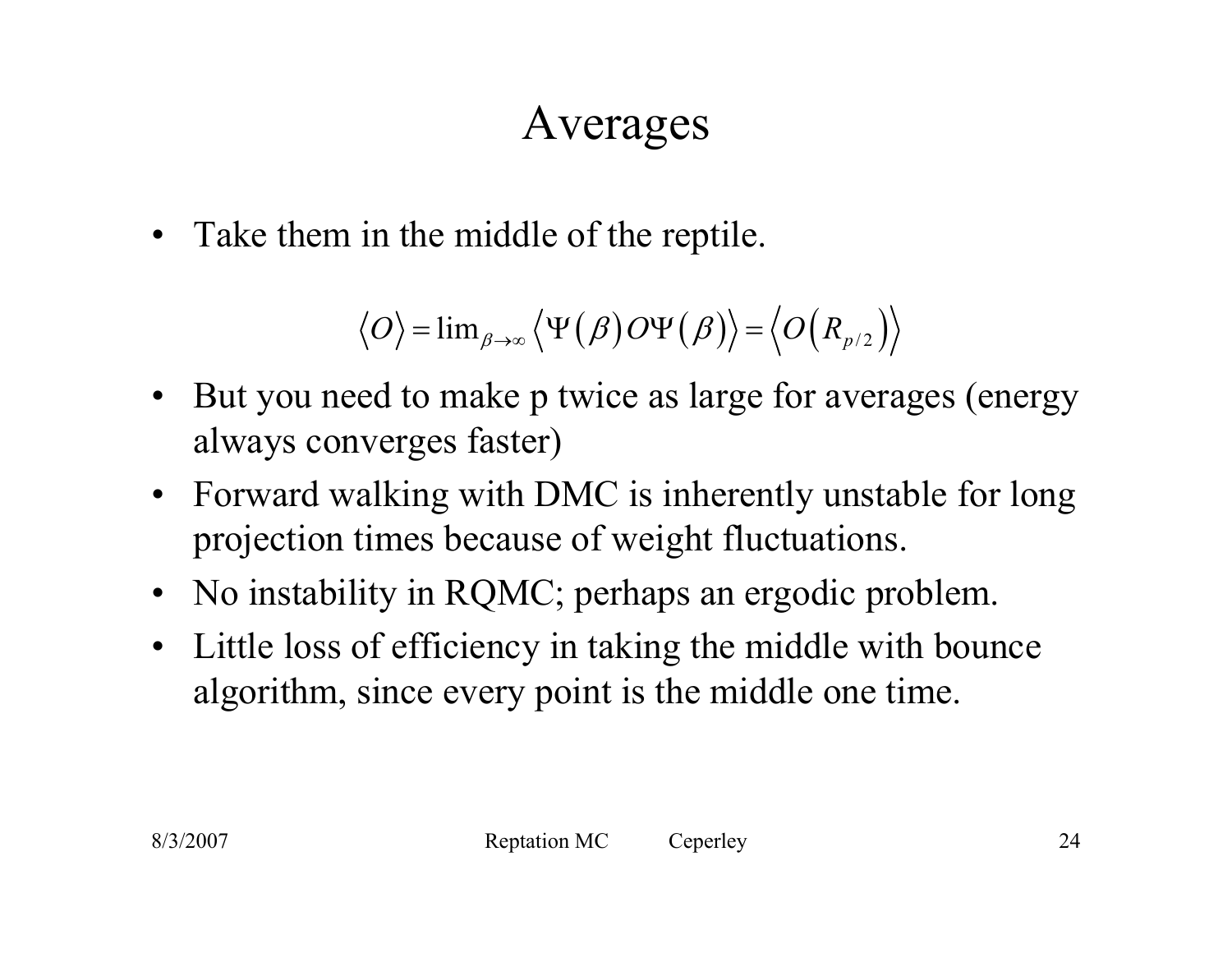### Averages

• Take them in the middle of the reptile.

$$
\langle O \rangle = \lim_{\beta \to \infty} \langle \Psi(\beta) O \Psi(\beta) \rangle = \langle O(R_{p/2}) \rangle
$$

- $\bullet$  But you need to make p twice as large for averages (energy always converges faster)
- $\bullet$  Forward walking with DMC is inherently unstable for long projection times because of weight fluctuations.
- No instability in RQMC; perhaps an ergodic problem.
- $\bullet$  Little loss of efficiency in taking the middle with bounce algorithm, since every point is the middle one time.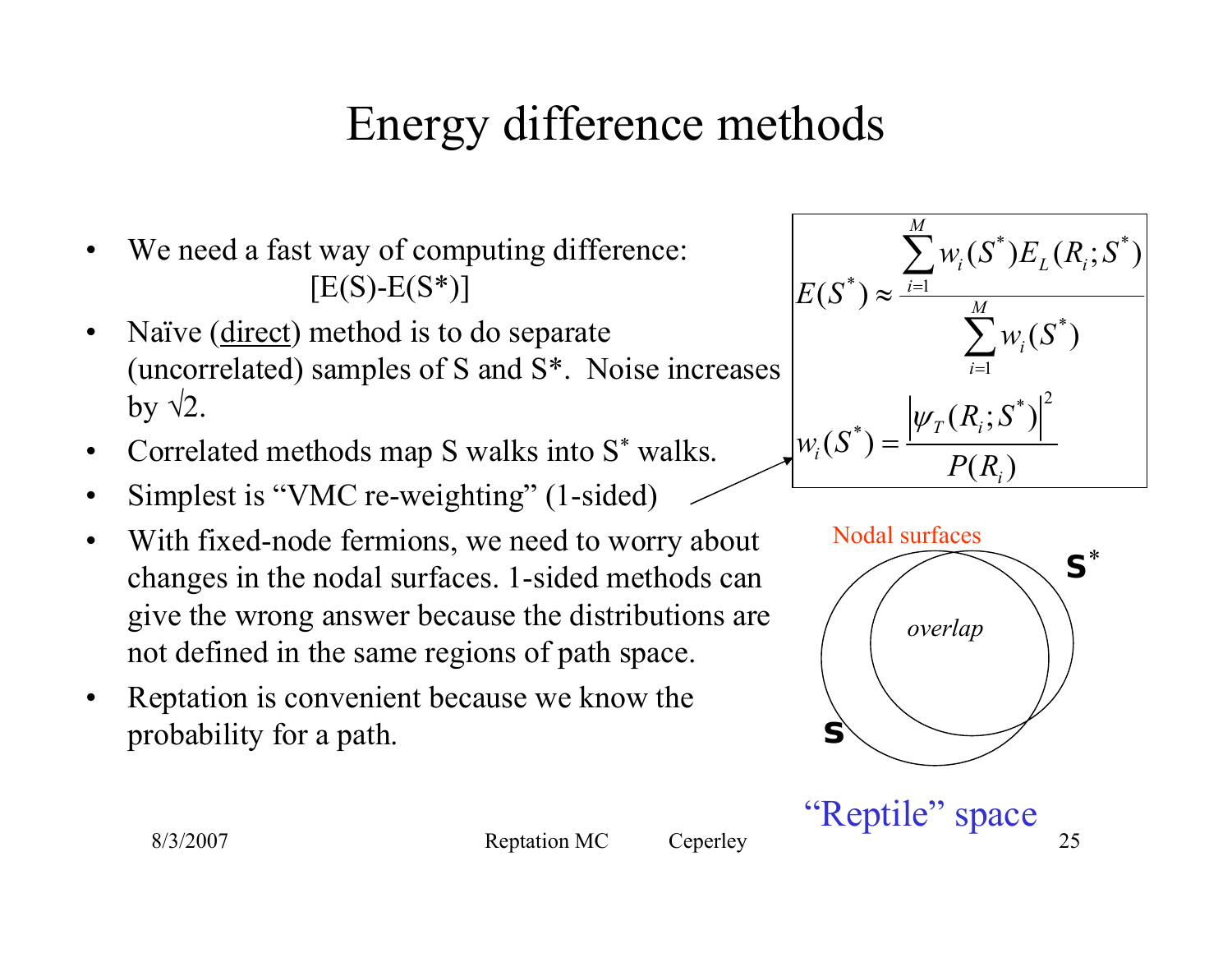# Energy difference methods

- •We need a fast way of computing difference:  $[E(S)-E(S^*)]$
- $\bullet$  Naïve (direct) method is to do separate (uncorrelated) samples of S and S\*. Noise increases by  $\sqrt{2}$ .
- $\bullet$ Correlated methods map S walks into S \* walks.
- •Simplest is "VMC re-weighting" (1-sided)
- $\bullet$  With fixed-node fermions, we need to worry about changes in the nodal surfaces. 1-sided methods can give the wrong answer because the distributions are not defined in the same regions of path space.
- $\bullet$  Reptation is convenient because we know the probability for a path.





"Reptile" space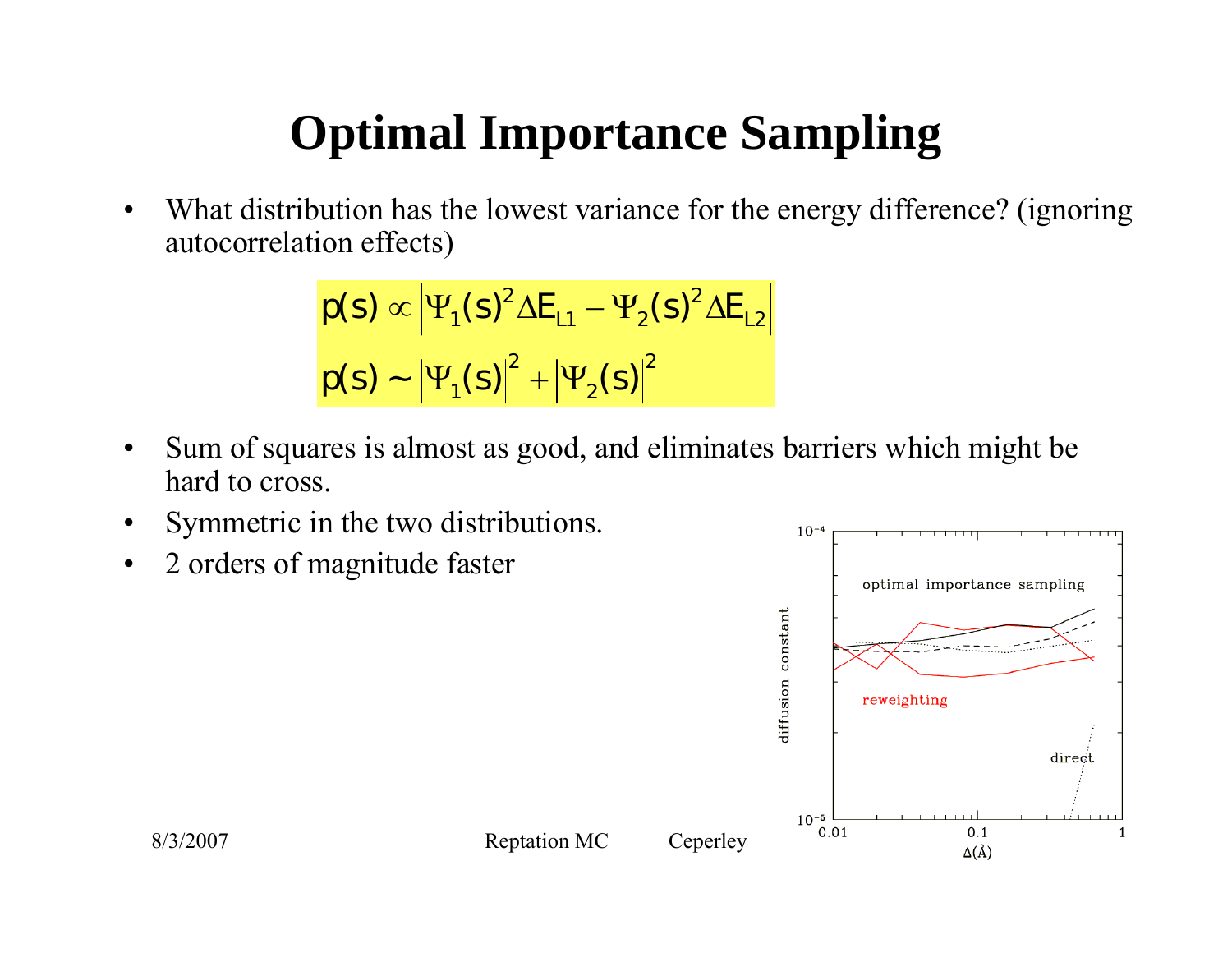## **Optimal Importance Sampling**

• What distribution has the lowest variance for the energy difference? (ignoring autocorrelation effects)

$$
\rho(s) \propto |\Psi_1(s)|^2 \Delta E_{L1} - \Psi_2(s)|^2 \Delta E_{L2}
$$
  

$$
\rho(s) \sim |\Psi_1(s)|^2 + |\Psi_2(s)|^2
$$

- $\bullet$  Sum of squares is almost as good, and eliminates barriers which might be hard to cross.
- •Symmetric in the two distributions.
- •2 orders of magnitude faster

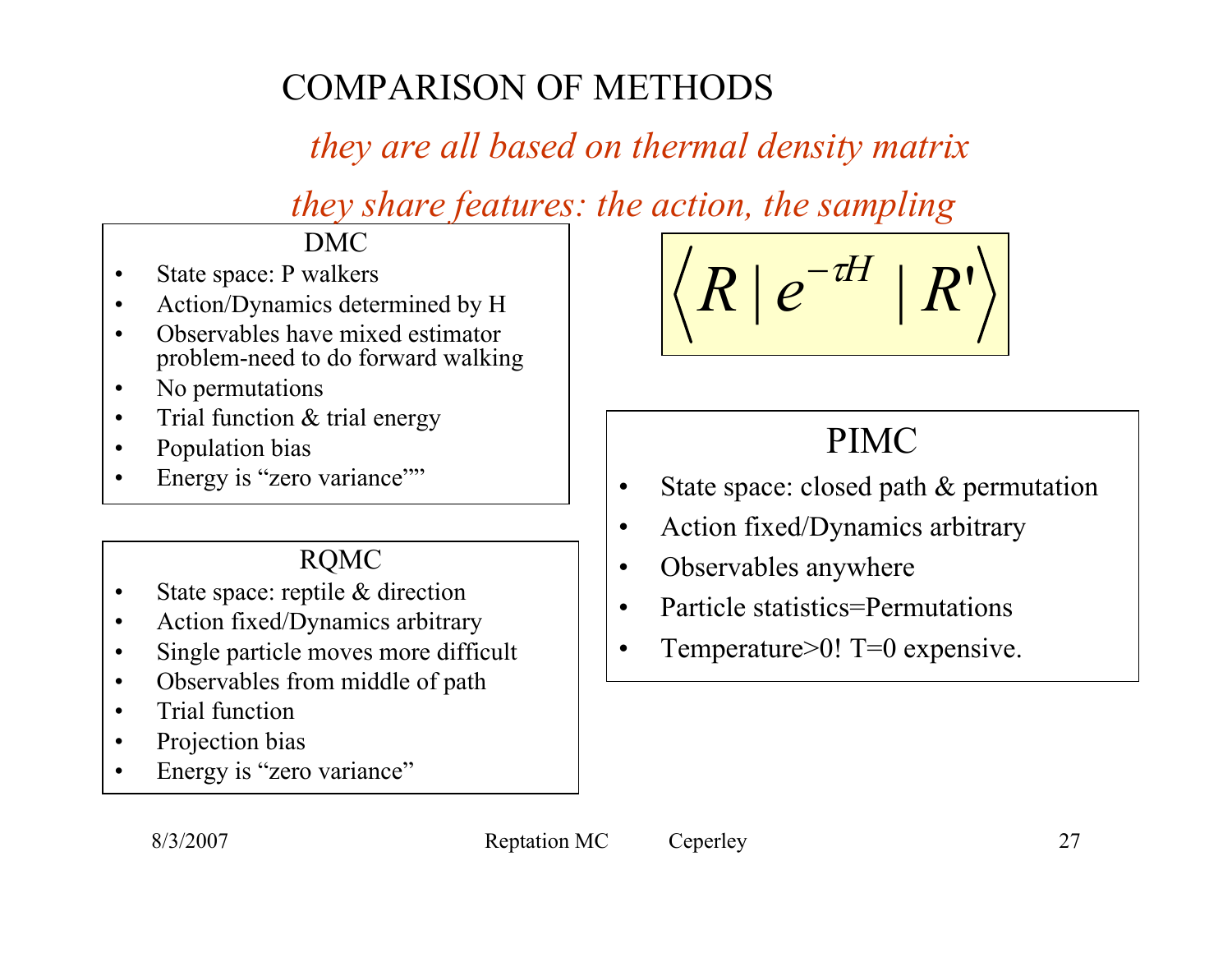#### COMPARISON OF METHODS

#### *they are all based on thermal density matrix*

*they share features: the action, the sampling*

DMC

- •State space: P walkers
- •Action/Dynamics determined by H
- • Observables have mixed estimator problem-need to do forward walking
- $\bullet$ No permutations
- •Trial function & trial energy
- •Population bias
- •Energy is "zero variance""

#### RQMC

- •State space: reptile & direction
- •Action fixed/Dynamics arbitrary
- •Single particle moves more difficult
- •Observables from middle of path
- •Trial function
- •Projection bias
- •Energy is "zero variance"

$$
\left|\left\langle R\left|\,e^{-tH}\,\right|\,R'\right\rangle \right|
$$

#### PIMC

- •State space: closed path & permutation
- •Action fixed/Dynamics arbitrary
- •Observables anywhere
- •Particle statistics=Permutations
- •Temperature>0! T=0 expensive.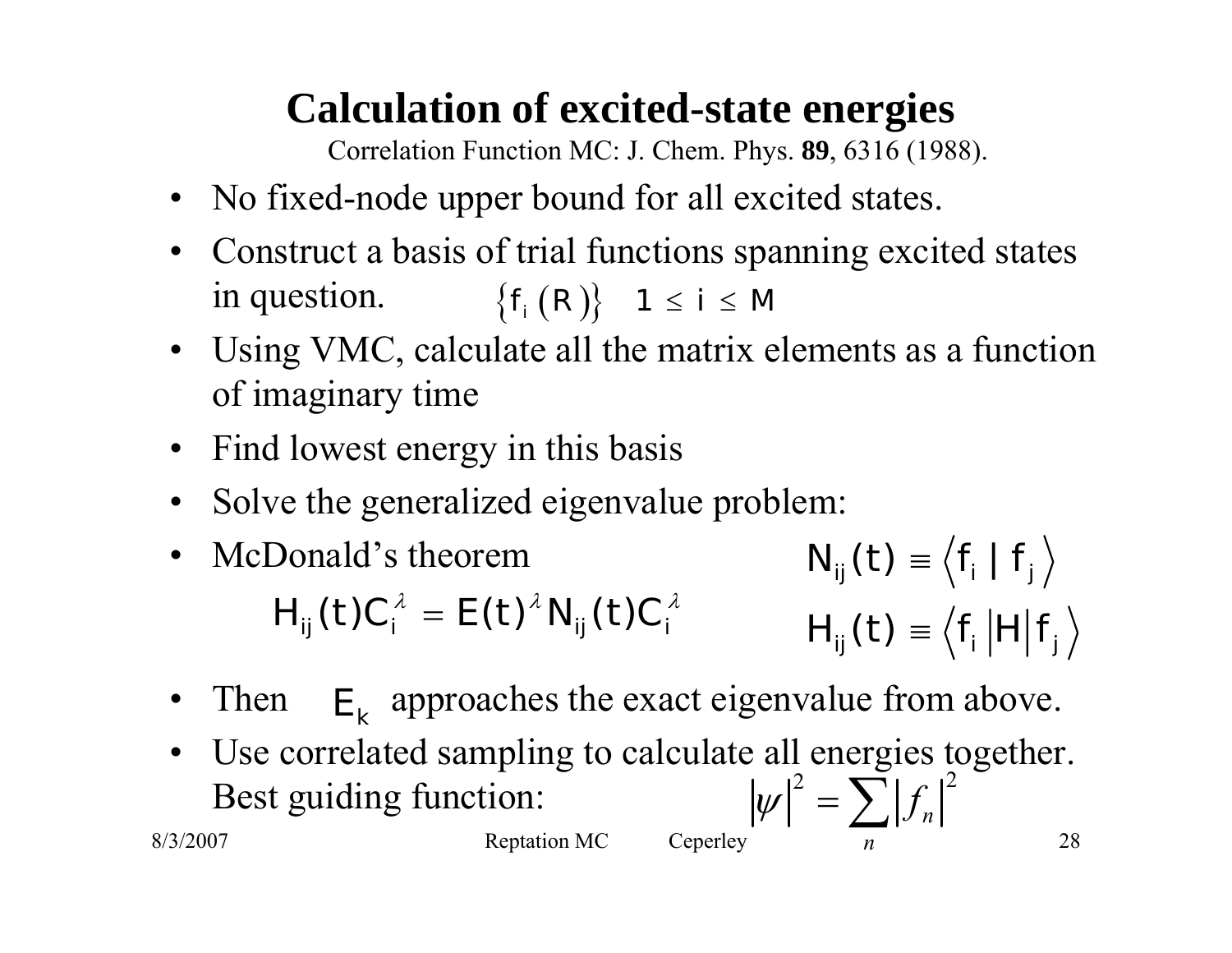#### **Calculation of excited-state energies**

Correlation Function MC: J. Chem. Phys. **89**, 6316 (1988).

- No fixed-node upper bound for all excited states.
- $\bullet$  Construct a basis of trial functions spanning excited states in question.  $\big\{f_{_{i}}\big(R\big)\big\} \quad 1\leq \, i\leq \, M$
- Using VMC, calculate all the matrix elements as a function of imaginary time
- Find lowest energy in this basis
- •Solve the generalized eigenvalue problem:
- • McDonald's theorem $f_{ij}^{\prime}(t)\equiv\left\langle f_{i}\mid f_{j}\right\rangle$  $f_{ij}^{\prime}(t)\equiv\left\langle f_{i}\left|H\right|f\right\rangle$  $N_{ii}(t) \equiv \langle f_i | f$  $H_u(t) \equiv \langle f_t | H | f$  $H_{ij}(t) C_i^{\lambda} = E(t)^{\lambda} N_{ij}(t) C_i^{\lambda}$   $H_{ii}(t) \equiv \langle f_i | H_i \rangle$
- Then Then  $E_k$  approaches the exact eigenvalue from above.
- • Use correlated sampling to calculate all energies together. Best guiding function: 2  $\sum_{\alpha}$   $\beta$  $|\psi| = \sum_{n}$  $\sum |f_i$

 $8/3/2007$  Reptation MC Ceperley  $n$  28

*n*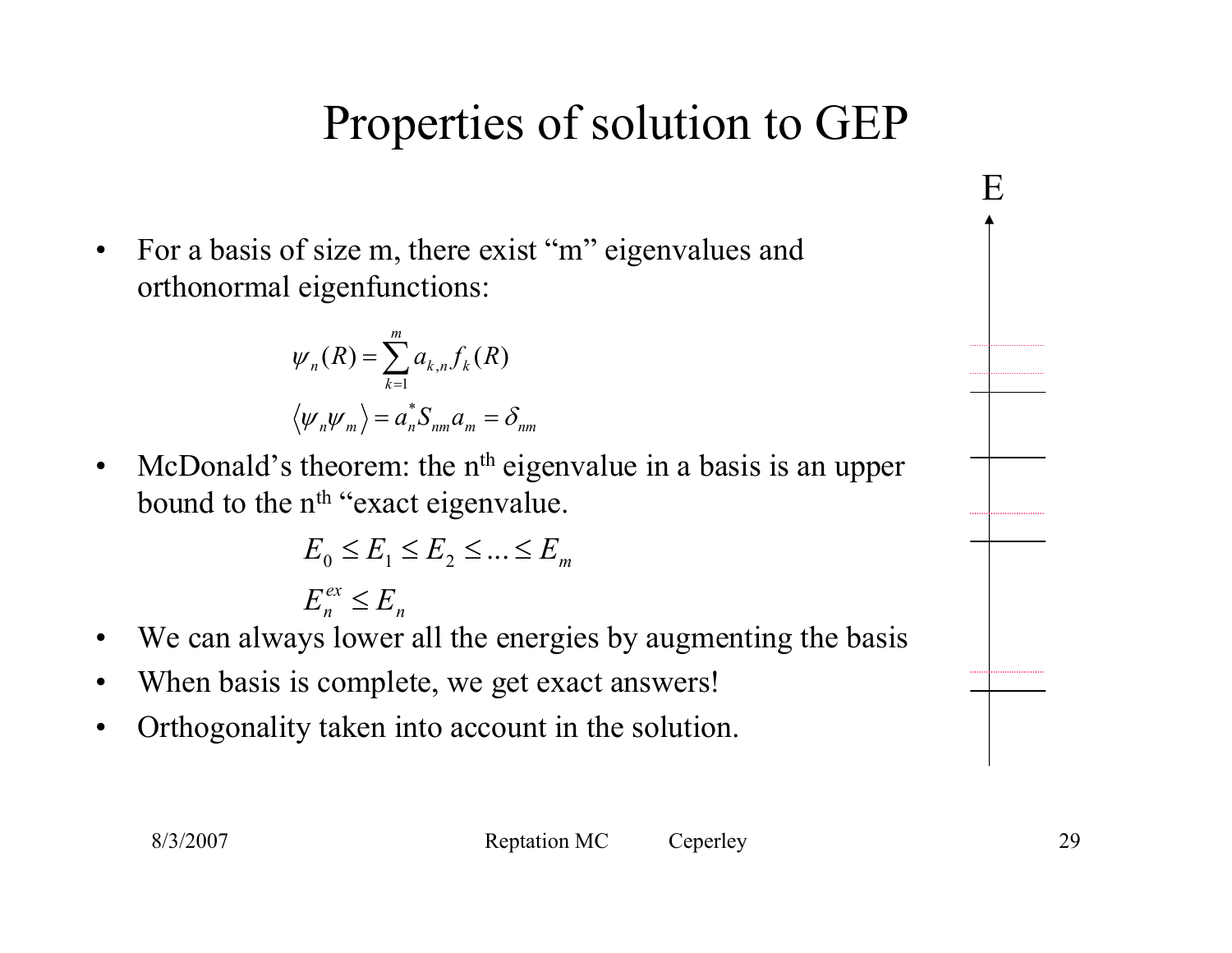## Properties of solution to GEP

 $\bullet$  For a basis of size m, there exist "m" eigenvalues and orthonormal eigenfunctions:

$$
\psi_n(R) = \sum_{k=1}^m a_{k,n} f_k(R)
$$

$$
\langle \psi_n \psi_m \rangle = a_n^* S_{nm} a_m = \delta_{nm}
$$

 $\bullet$ McDonald's theorem: the  $n<sup>th</sup>$  eigenvalue in a basis is an upper bound to the n<sup>th</sup> "exact eigenvalue.

$$
E_0 \le E_1 \le E_2 \le \dots \le E_m
$$
  

$$
E_n^{ex} \le E_n
$$

- •We can always lower all the energies by augmenting the basis *n*
- $\bullet$ When basis is complete, we get exact answers!
- •Orthogonality taken into account in the solution.

E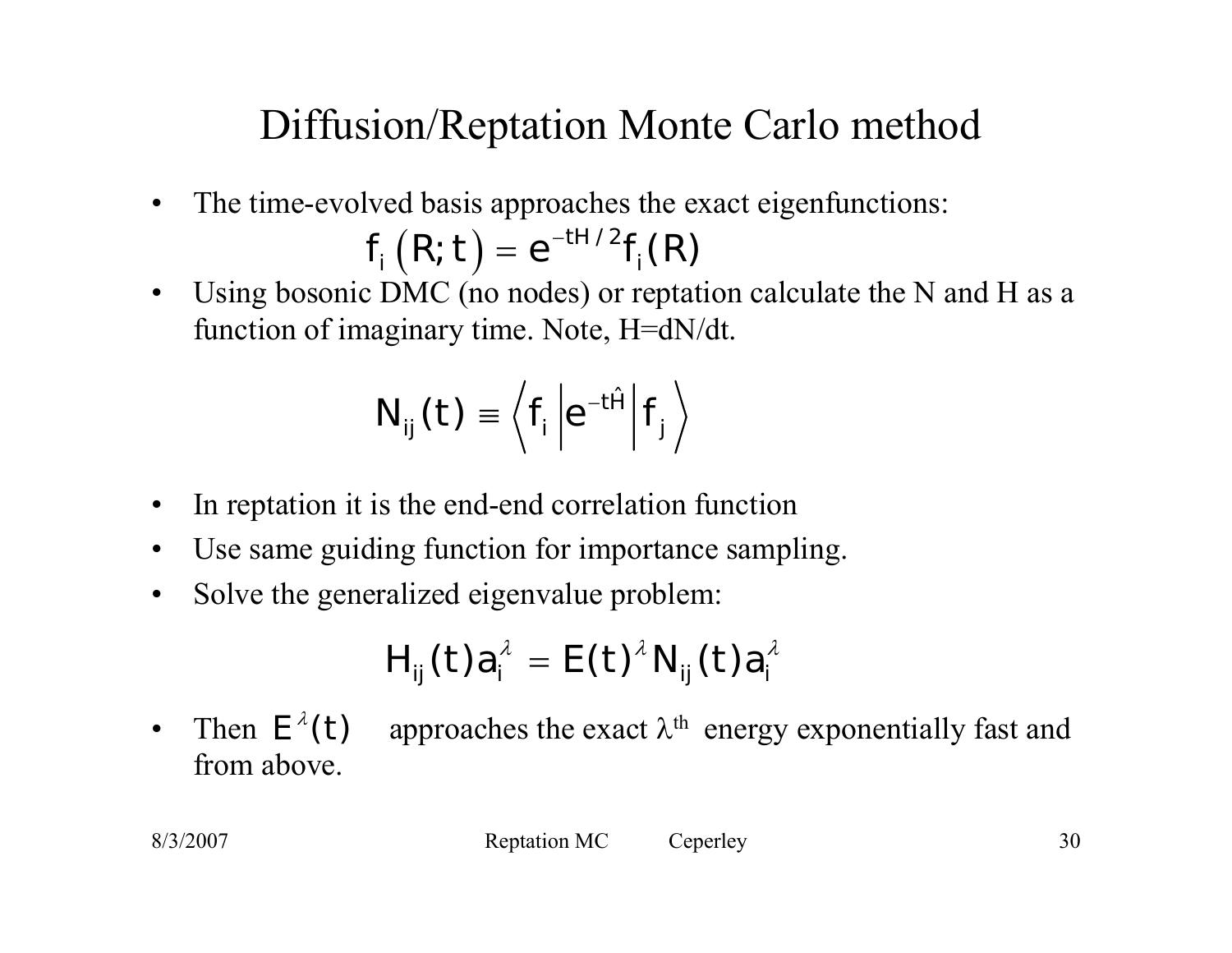#### Diffusion/Reptation Monte Carlo method

 $\bullet$ The time-evolved basis approaches the exact eigenfunctions:

$$
f_i(R, t) = e^{-tH/2}f_i(R)
$$

 $\bullet$  Using bosonic DMC (no nodes) or reptation calculate the N and H as a function of imaginary time. Note, H=dN/dt.

$$
N_{ij}(t) \equiv \left\langle f_i \left| e^{-t\hat{H}} \right| f_j \right\rangle
$$

- $\bullet$ In reptation it is the end-end correlation function
- $\bullet$ Use same guiding function for importance sampling.
- $\bullet$ Solve the generalized eigenvalue problem:

$$
H_{ij}(t)a_i^{\lambda} = E(t)^{\lambda} N_{ij}(t)a_i^{\lambda}
$$

 $\bullet$ Then  $E^{\lambda}(t)$  approaches the exact  $\lambda^{th}$  energy exponentially fast and from above.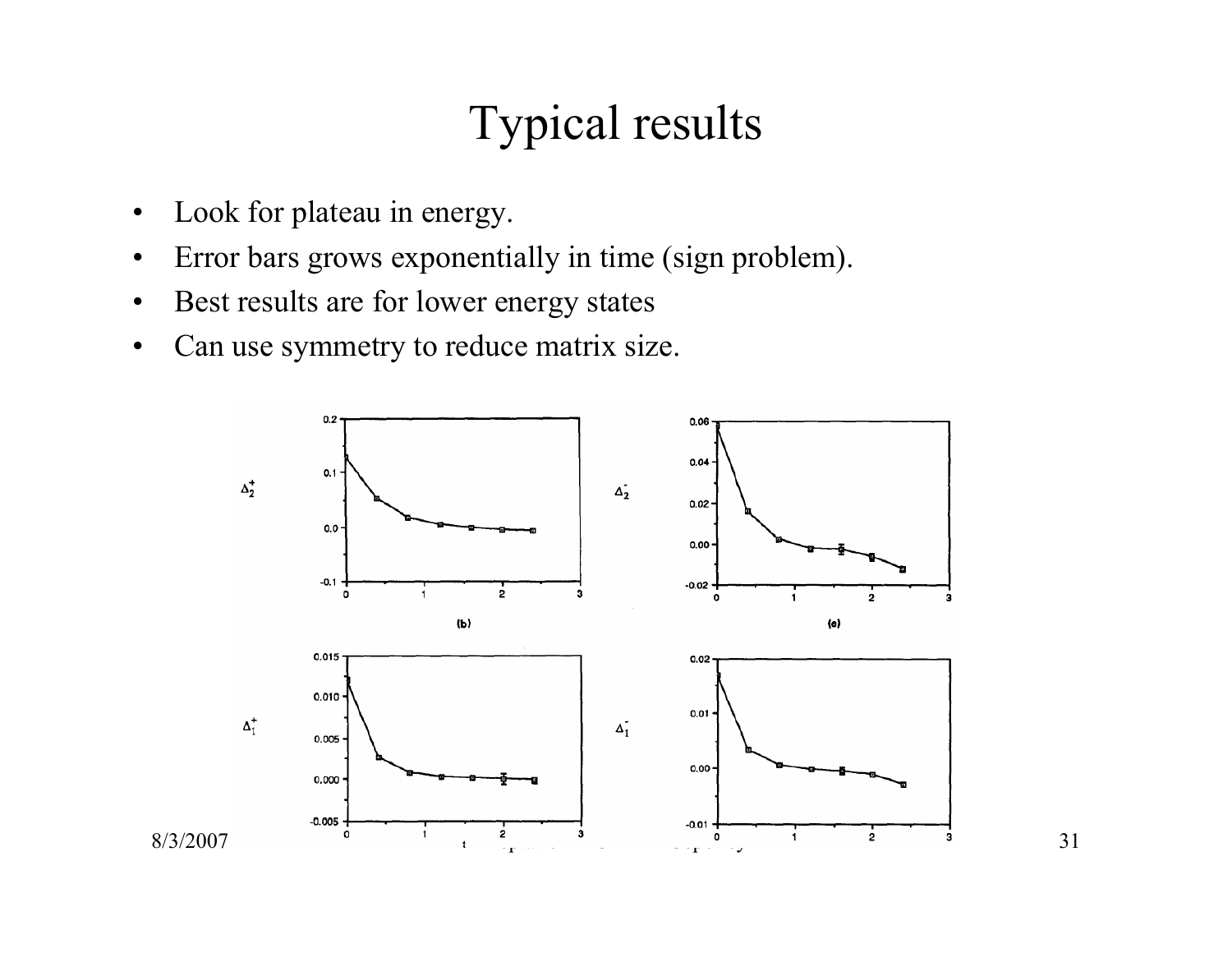## Typical results

- $\bullet$ Look for plateau in energy.
- $\bullet$ Error bars grows exponentially in time (sign problem).
- •Best results are for lower energy states
- •Can use symmetry to reduce matrix size.

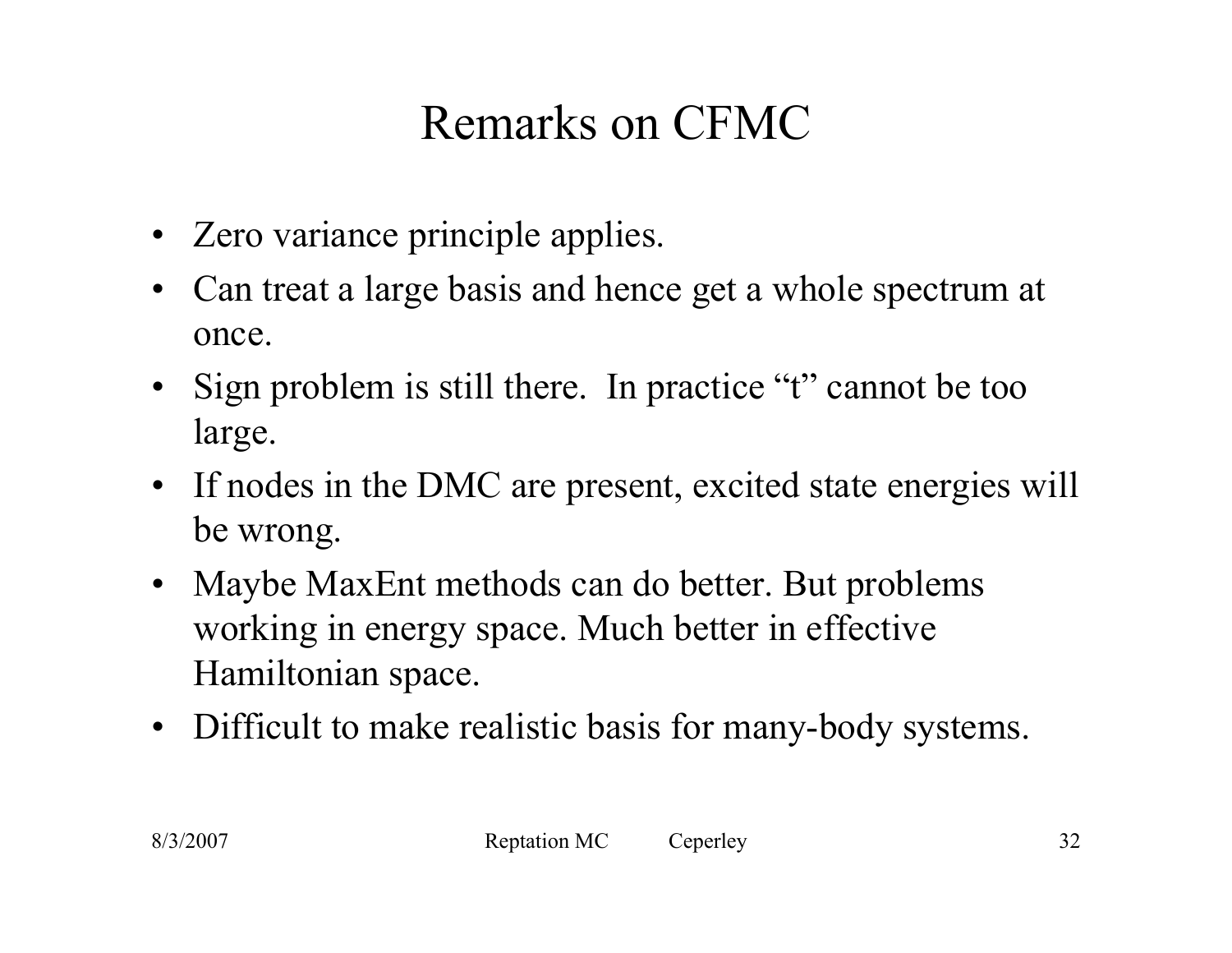# Remarks on CFMC

- Zero variance principle applies.
- $\bullet$  Can treat a large basis and hence get a whole spectrum at once.
- Sign problem is still there. In practice "t" cannot be too large.
- If nodes in the DMC are present, excited state energies will be wrong.
- $\bullet$  Maybe MaxEnt methods can do better. But problems working in energy space. Much better in effective Hamiltonian space.
- Difficult to make realistic basis for many-body systems.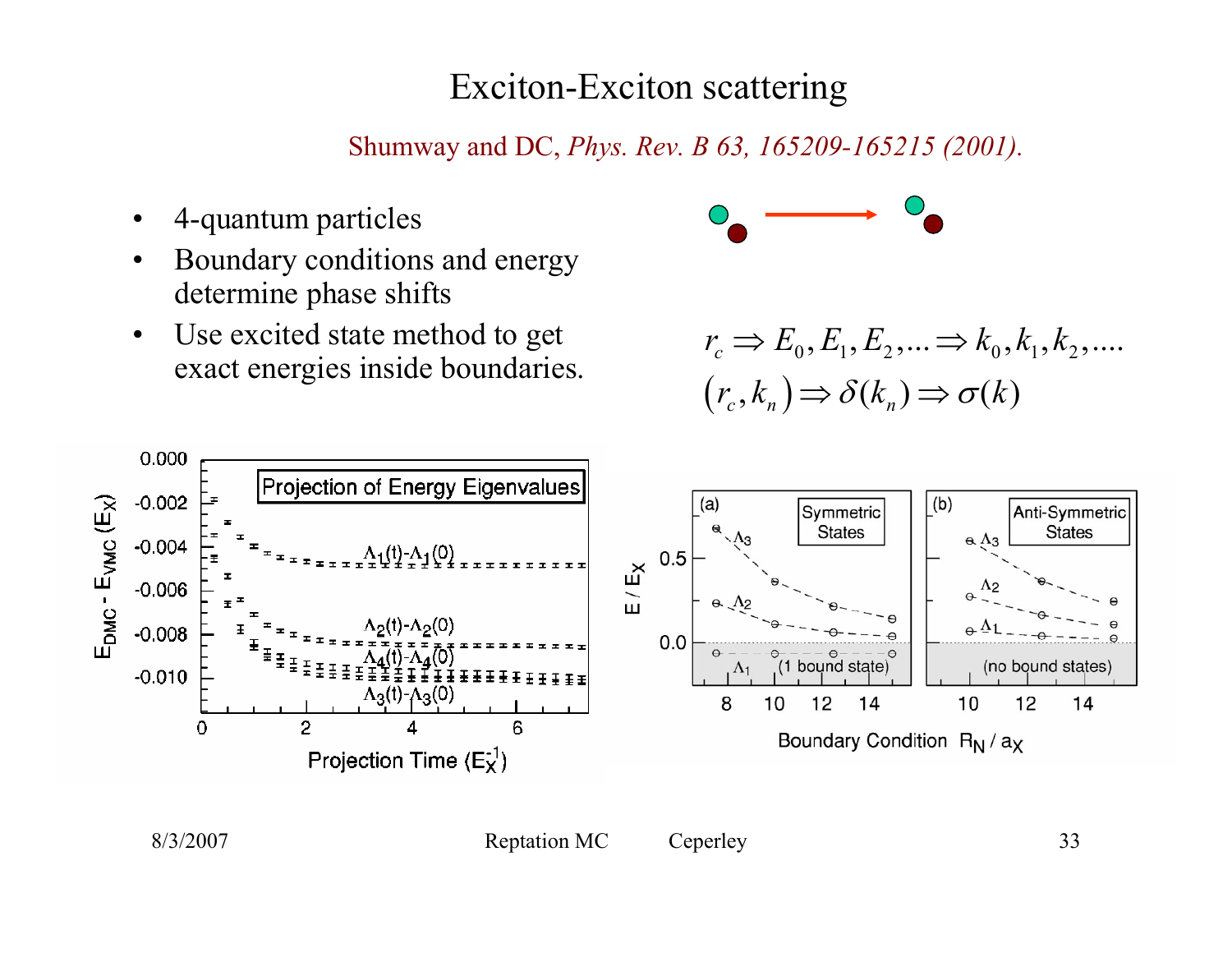#### Exciton-Exciton scattering

Shumway and DC, *Phys. Rev. B 63, 165209-165215 (2001).*

- •4-quantum particles
- • Boundary conditions and energy determine phase shifts
- • Use excited state method to get exact energies inside boundaries.



$$
r_c \Rightarrow E_0, E_1, E_2, \dots \Rightarrow k_0, k_1, k_2, \dots
$$

$$
(r_c, k_n) \Rightarrow \delta(k_n) \Rightarrow \sigma(k)
$$

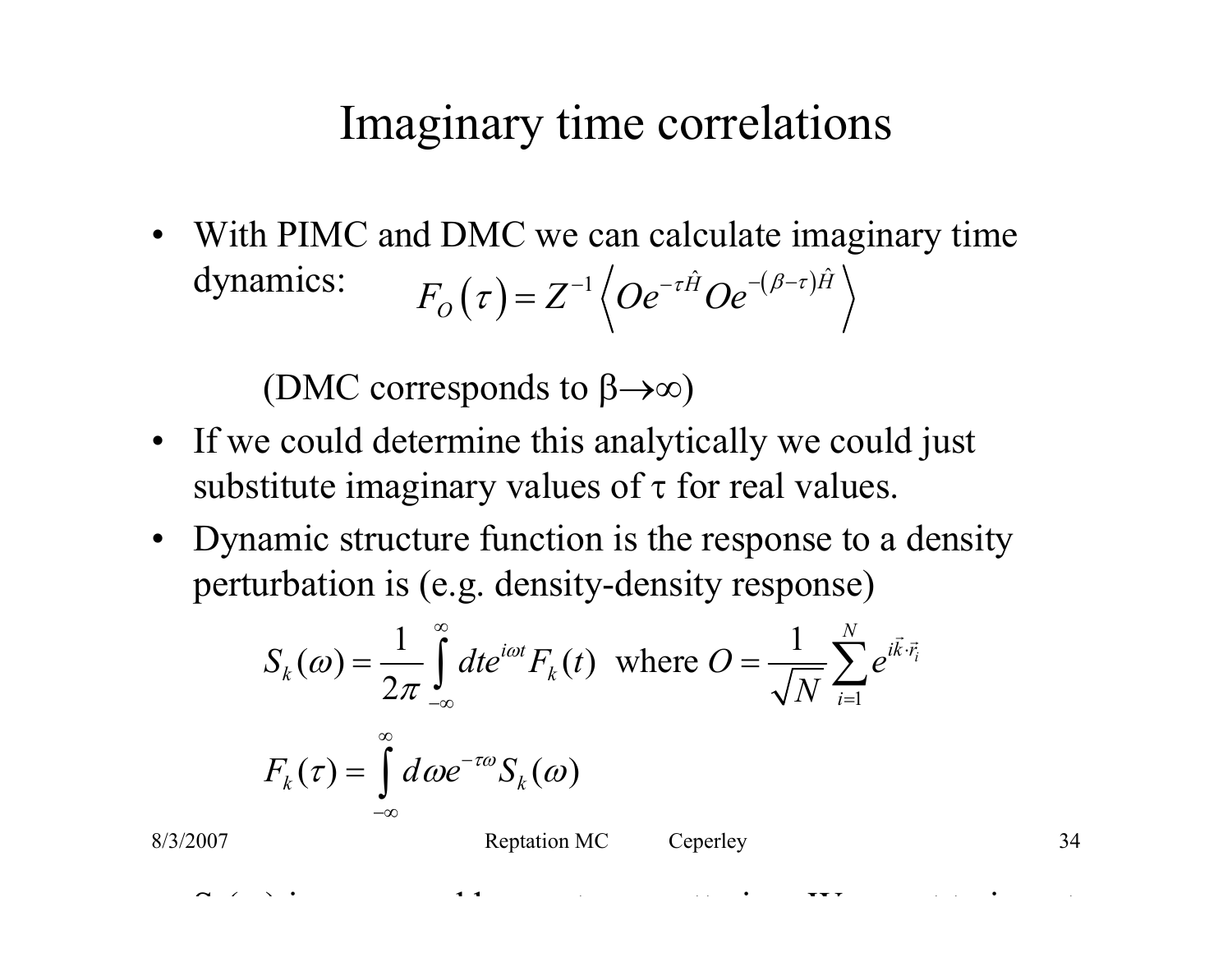#### Imaginary time correlations

• With PIMC and DMC we can calculate imaginary time dynamics:  $F_{O}\left( \tau\right) =Z^{-1}\left\langle Oe^{-\tau\hat{H}}Oe^{-(\beta-\tau)\hat{H}}\right\rangle$  $\tau H \Omega$ <sub>2</sub> -( $\beta$ - $\tau$  $\tau$  $= Z^{-1} \langle O e^{-\tau H} O e^{-(\rho - \tau)} \rangle$ 

(DMC corresponds to β→∞)

- If we could determine this analytically we could just substitute imaginary values of  $\tau$  for real values.
- Dynamic structure function is the response to a density perturbation is (e.g. density-density response)

$$
S_k(\omega) = \frac{1}{2\pi} \int_{-\infty}^{\infty} dt e^{i\omega t} F_k(t) \text{ where } O = \frac{1}{\sqrt{N}} \sum_{i=1}^{N} e^{i\vec{k}\cdot\vec{r}_i}
$$

$$
F_k(\tau) = \int_{-\infty}^{\infty} d\omega e^{-\tau\omega} S_k(\omega)
$$

 $\tilde{ }$ 

( ), it is the transformation of the transformation  $\mathbf{f} = \mathbf{f} \mathbf{f} \mathbf{f}$  is the transformation of the transformation of the transformation of the transformation of the transformation of the transformation of the tr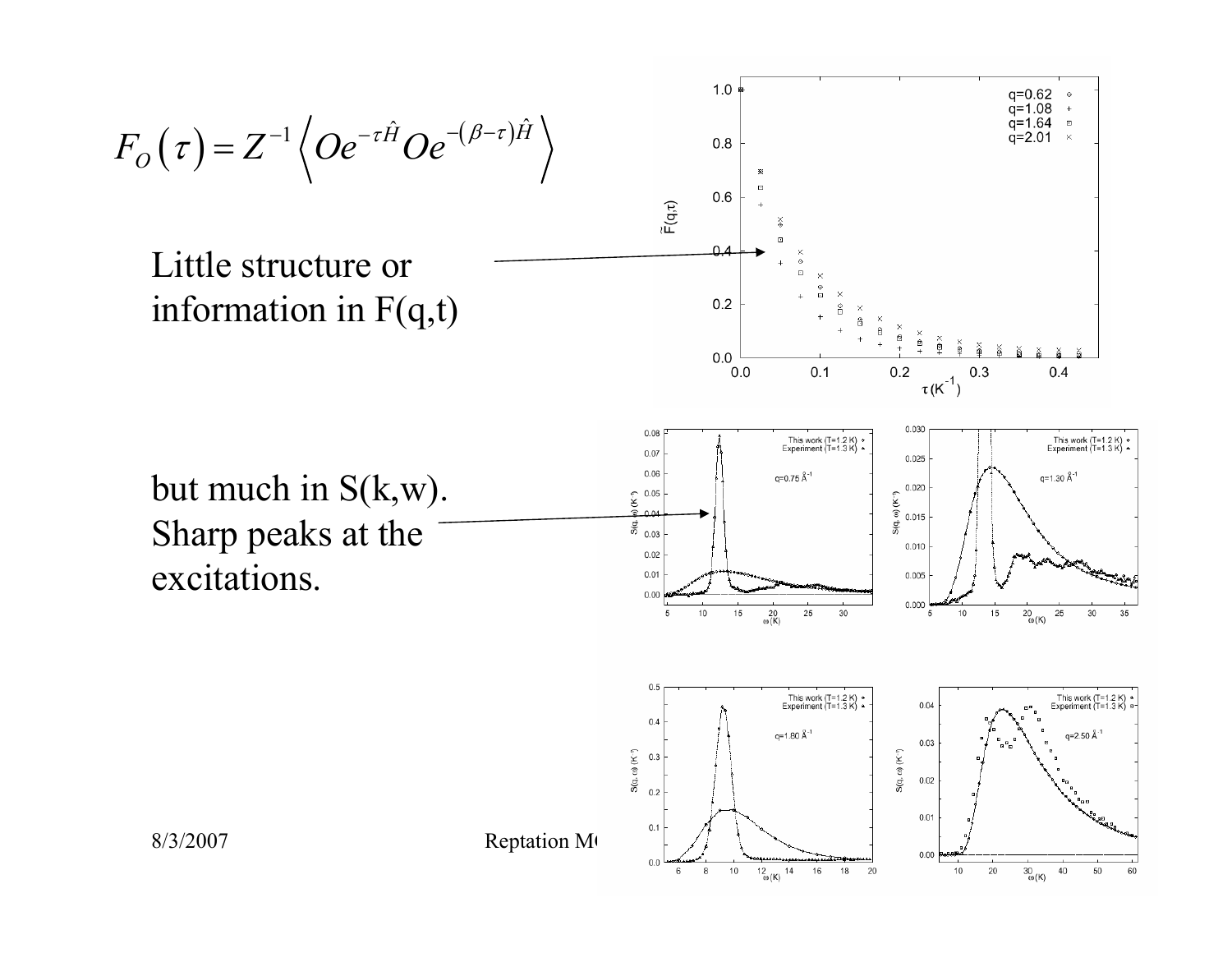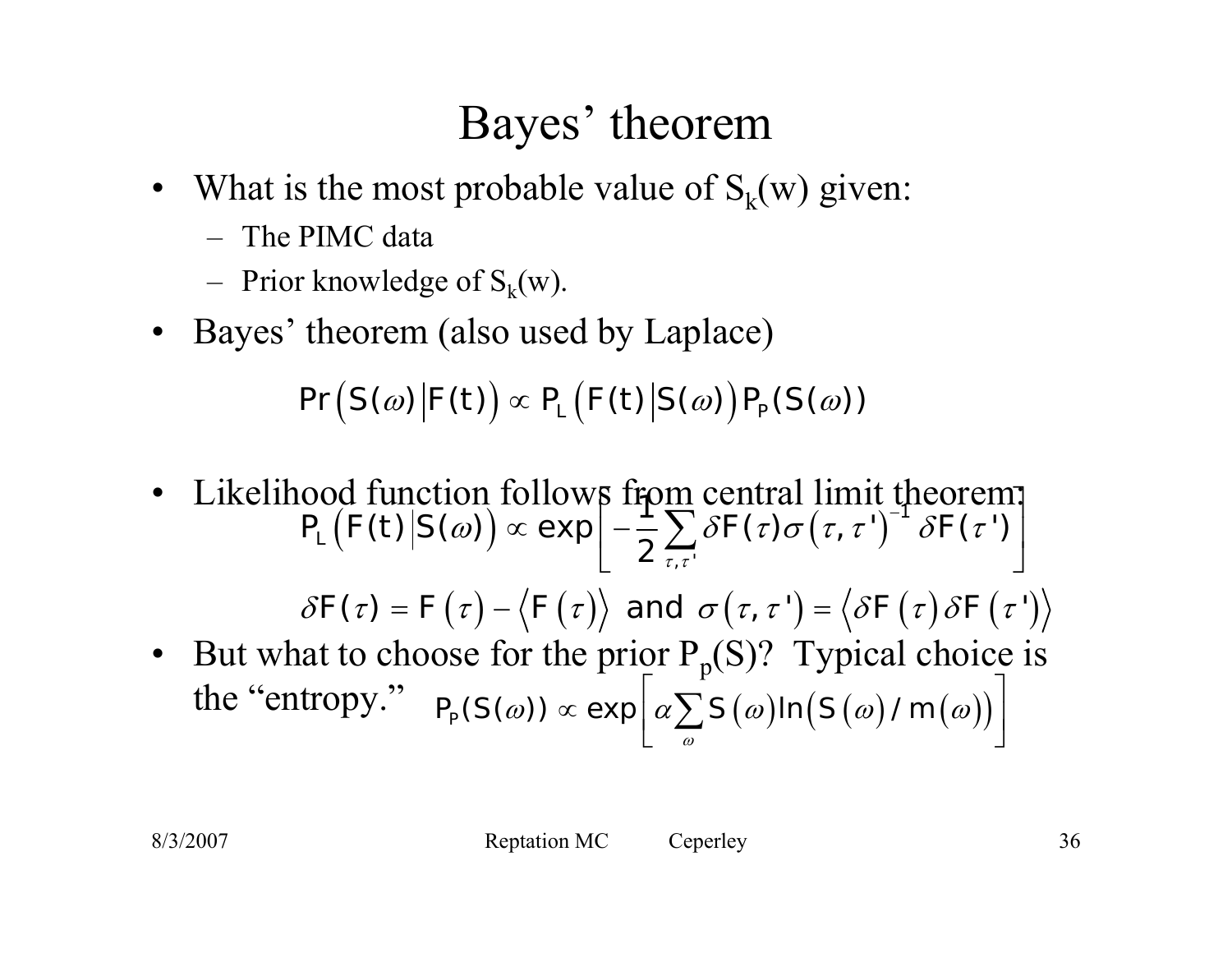## Bayes' theorem

- $\bullet$ What is the most probable value of  $S_k(w)$  given:
	- The PIMC data
	- –Prior knowledge of  $S_k(w)$ .
- $\bullet$ Bayes' theorem (also used by Laplace)

 $\bigl(\left. S(\omega)\right| \!\! F(t)\bigr) \propto P_{\!\scriptscriptstyle L}\bigl(F(t)\big| S(\omega)\bigr)$  $\Pr \left( \left| S(\omega) \right| \mathcal{F}(t) \right) \propto P_{\text{\tiny L}} \left( \left| \mathcal{F}(t) \right| \mathcal{S}(\omega) \right) P_{\text{\tiny P}}(S(\omega))$ 

 $\bullet$  Likelihood function follows from central limit theorem: • But what to choose for the prior  $P_p(S)$ ? Typical choice is the "entropy."  $\left| P_{\rho}(S(\omega)) \propto \exp \right| \alpha \sum S(\omega) \ln \bigl( S(\omega)/m(\omega) \bigr)$  $\bigl( \left. \begin{gathered} F(t) \middle| S(\omega) \bigr) \propto \exp \right| - \frac{1}{2} \sum \delta F(\tau) \sigma\bigl( \tau, \tau^{\, \prime} \bigr) \end{gathered}$  $\delta F(\tau) = F(\tau) - \langle F(\tau) \rangle$  and  $\sigma(\tau, \tau') = \langle \delta F(\tau) \delta F(\tau') \rangle$ τ τ (on follows from central limit theorem;<br>ω))  $\propto$  exp  $\left[-\sum_{i} \delta F(\tau) \sigma(\tau, \tau')\right]^{T} \delta F(\tau')$  $\propto \exp\left[-\frac{1}{2}\sum_{\tau,\tau}\delta F(\tau)\sigma(\tau,\tau')\right] \delta F(\tau')\right]$  $\sum \delta \digamma(\tau) \sigma\big(\tau,\tau^{\, \prime}\big)^{\! -1}$ ,  $\tau'$ 1  $\Bigl(\mathcal{O}(t) \Bigr| S(\omega) \Bigr) \propto \exp \Bigl[ - \frac{1}{2} \sum_{\tau, \tau} \delta \mathcal{F}(\tau) \sigma\bigl( \tau, \tau^{\tau} \bigr)^{-1} \, \delta \mathcal{F}(\tau^{\tau}) \Bigr] \, .$  $P\left[ F(t) | S(\omega) \right] \propto \exp \left[ - \frac{1}{2} \sum \delta F(\tau) \sigma(\tau, \tau') \right]^{-1} \delta F$ ωω)) « exp $\left[\alpha \sum S(\omega) \ln(S(\omega)/m(\omega))\right]$  $\propto$  exp $\left[\alpha\sum_{\omega}S(\omega)$ In $(S(\omega)/m(\omega))\right]$  $P_{\!\scriptscriptstyle P}(S\!\left(\varpi\right)) \propto \exp\! \left\vert \alpha \sum\limits S\!\left(\varpi\right) \!\! \right\vert \mathsf{n} \!\left(\left.S\!\left(\varpi\right)/\,m\right)\right\vert$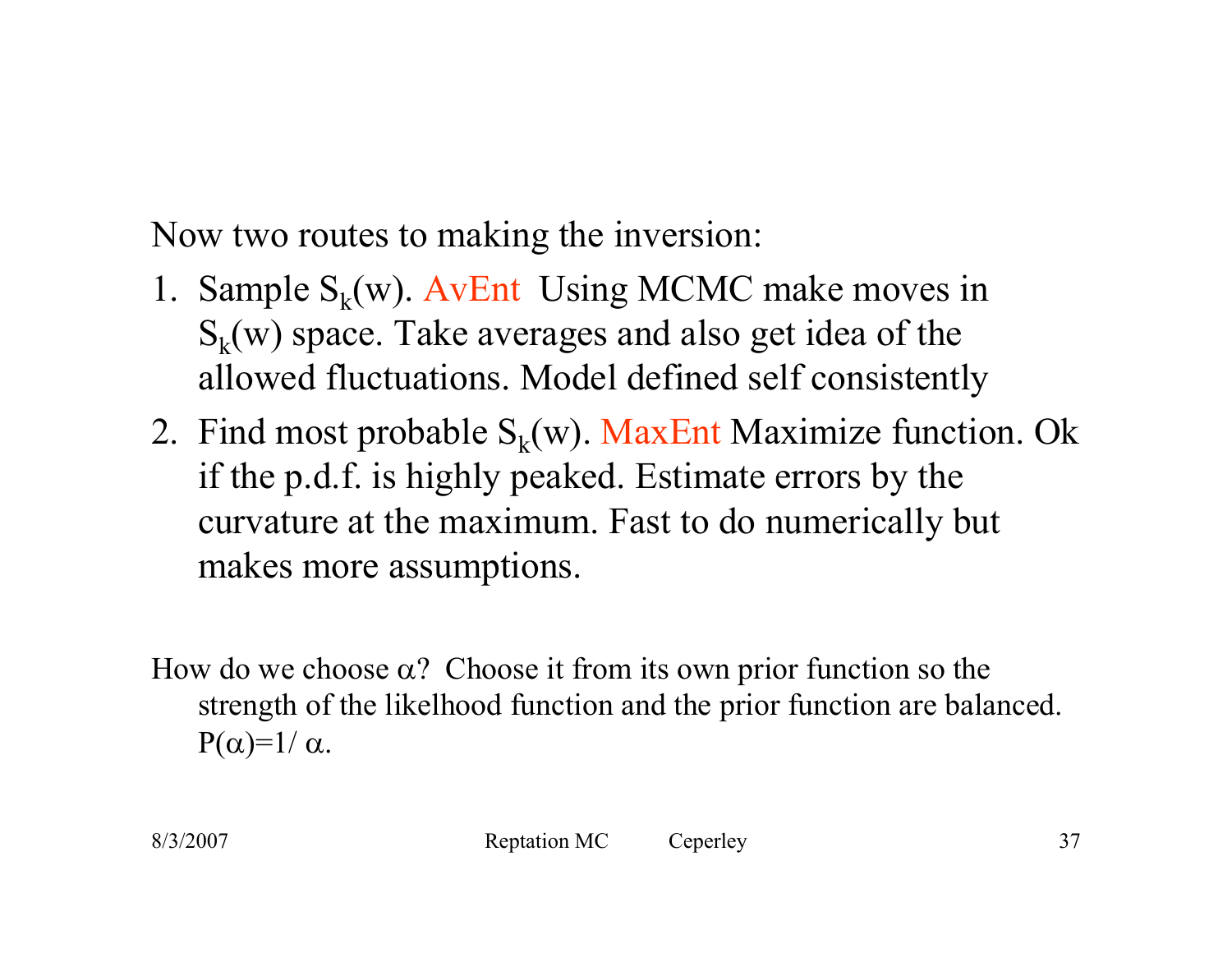Now two routes to making the inversion:

- 1. Sample  $S_k(w)$ . AvEnt Using MCMC make moves in  $S_k(w)$  space. Take averages and also get idea of the allowed fluctuations. Model defined self consistently
- 2. Find most probable  $S_k(w)$ . MaxEnt Maximize function. Ok if the p.d.f. is highly peaked. Estimate errors by the curvature at the maximum. Fast to do numerically but makes more assumptions.
- How do we choose  $\alpha$ ? Choose it from its own prior function so the strength of the likelhood function and the prior function are balanced. P( $\alpha$ )=1/  $\alpha$ .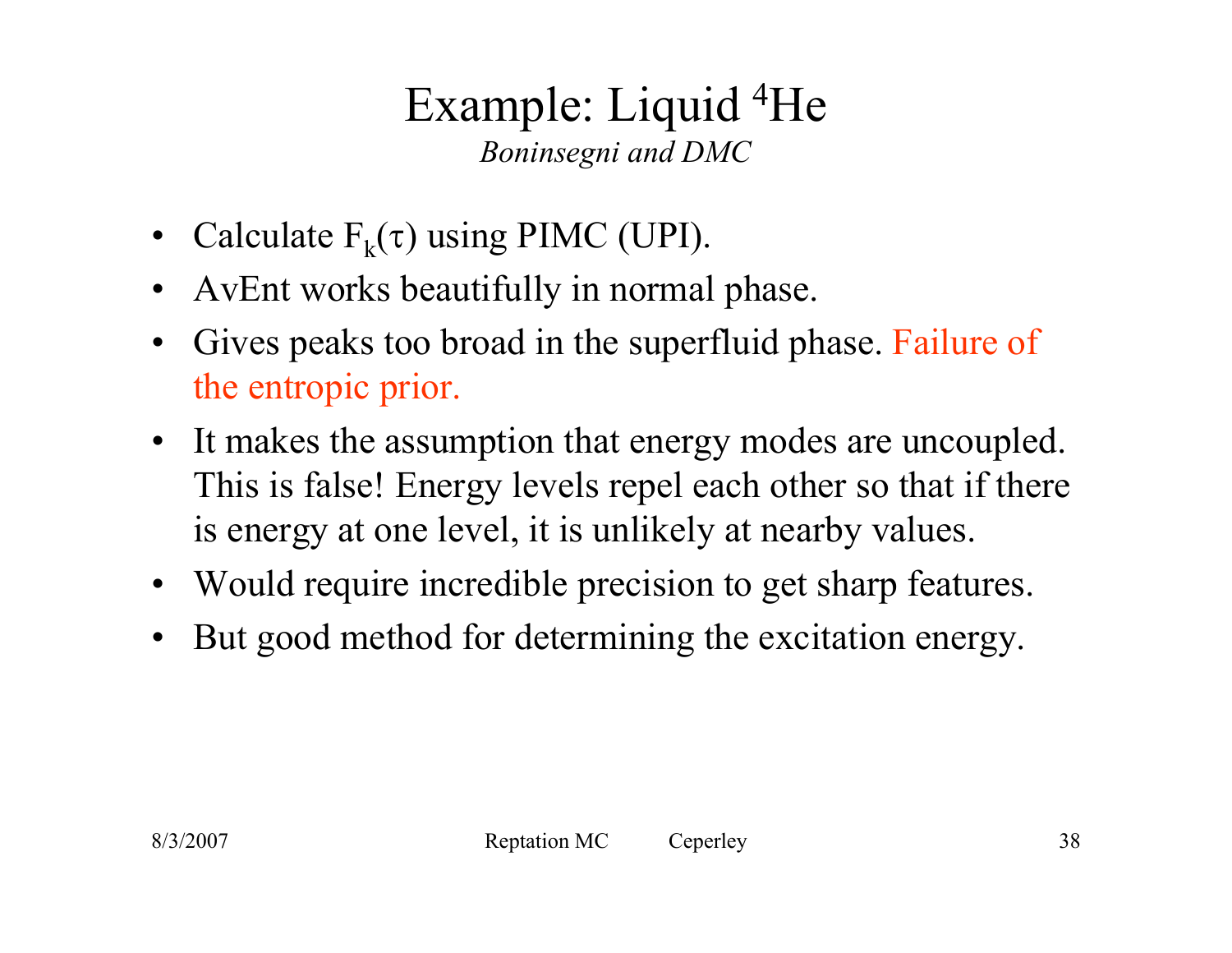#### Example: Liquid 4He *Boninsegni and DMC*

- Calculate  $F_k(\tau)$  using PIMC (UPI).
- $\bullet$ AvEnt works beautifully in normal phase.
- $\bullet$  Gives peaks too broad in the superfluid phase. Failure of the entropic prior.
- It makes the assumption that energy modes are uncoupled. This is false! Energy levels repel each other so that if there is energy at one level, it is unlikely at nearby values.
- Would require incredible precision to get sharp features.
- $\bullet$ But good method for determining the excitation energy.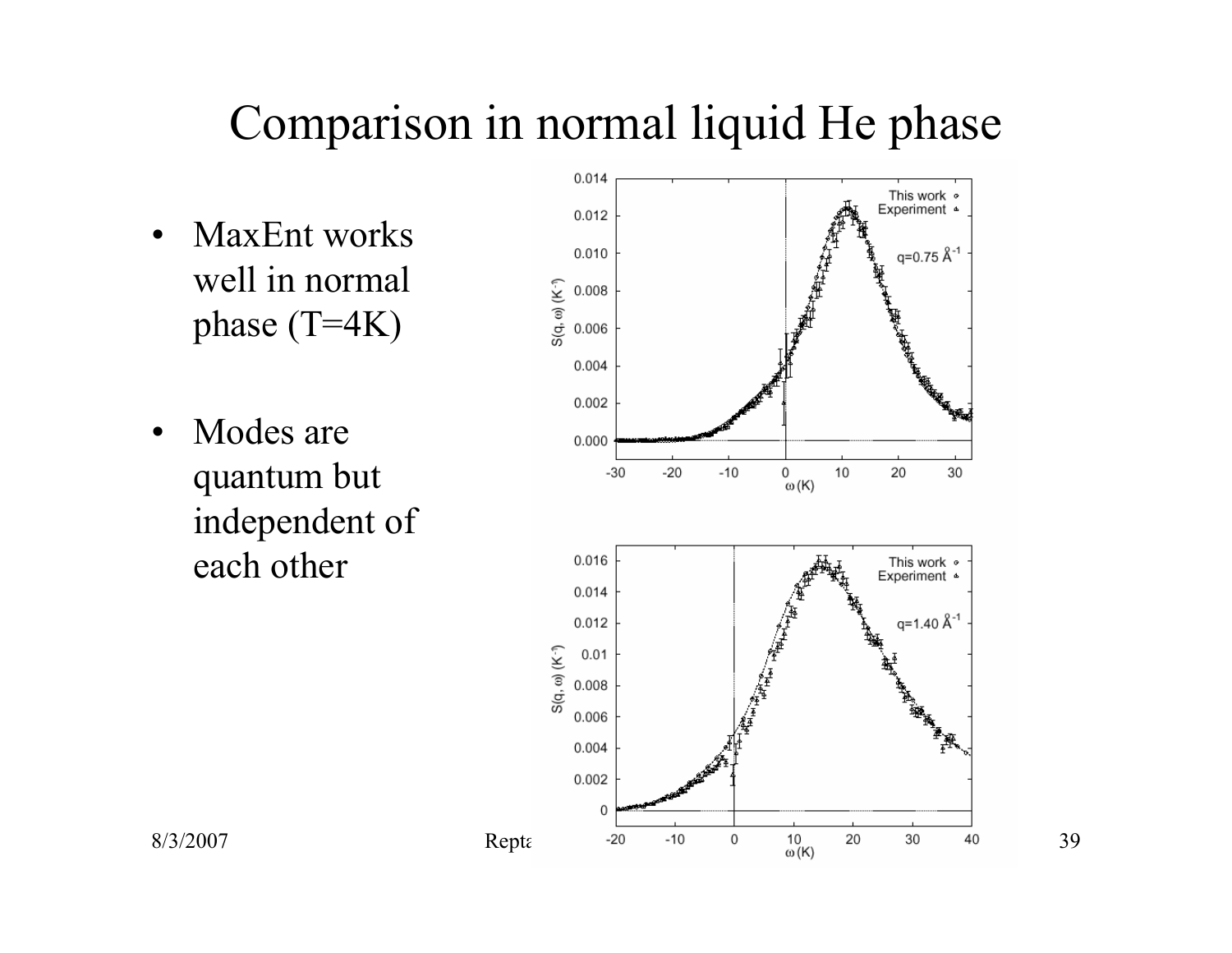# Comparison in normal liquid He phase

- MaxEnt works well in normal phase (T=4K)
- $\bullet$  Modes are quantum but independent of each other

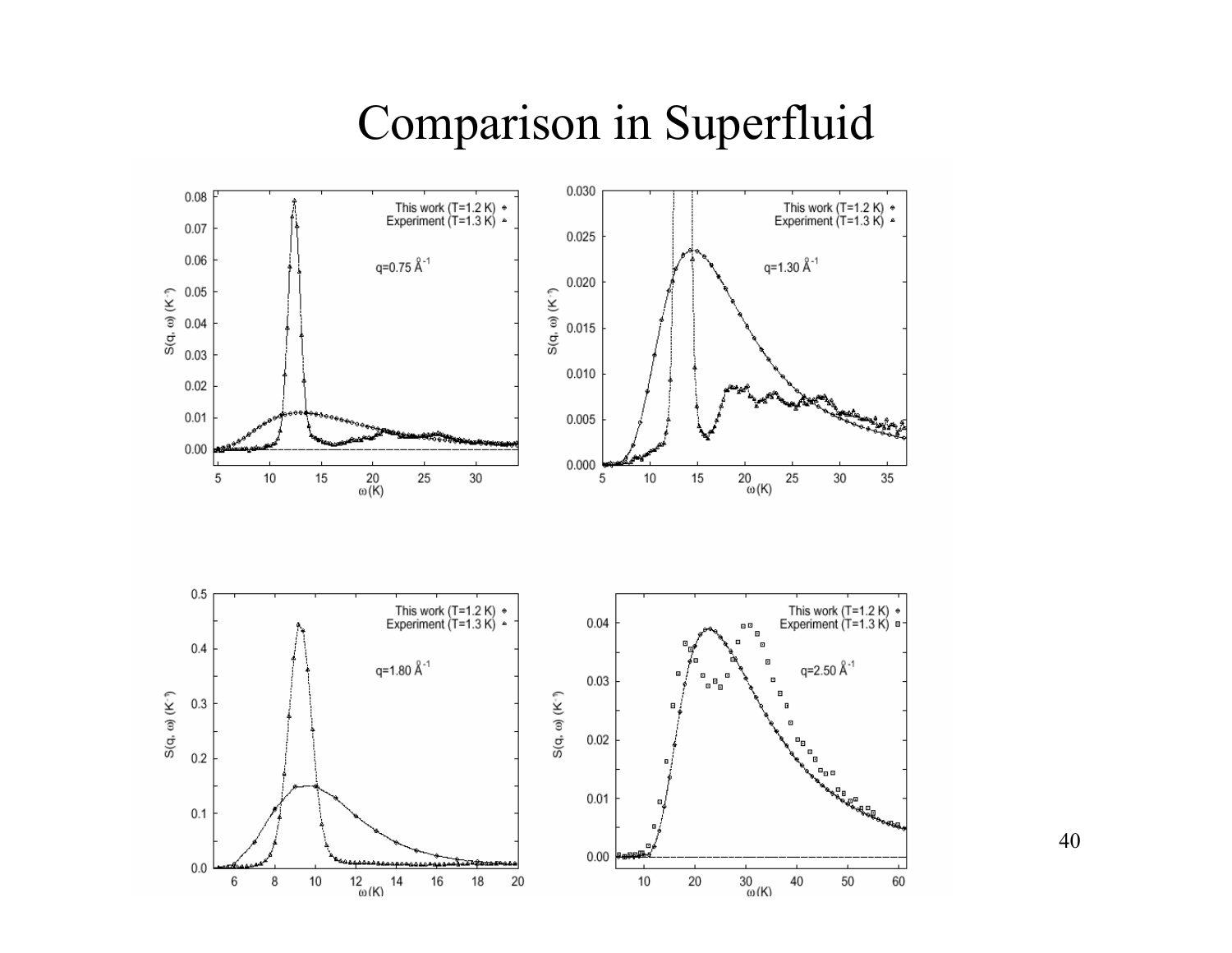#### Comparison in Superfluid